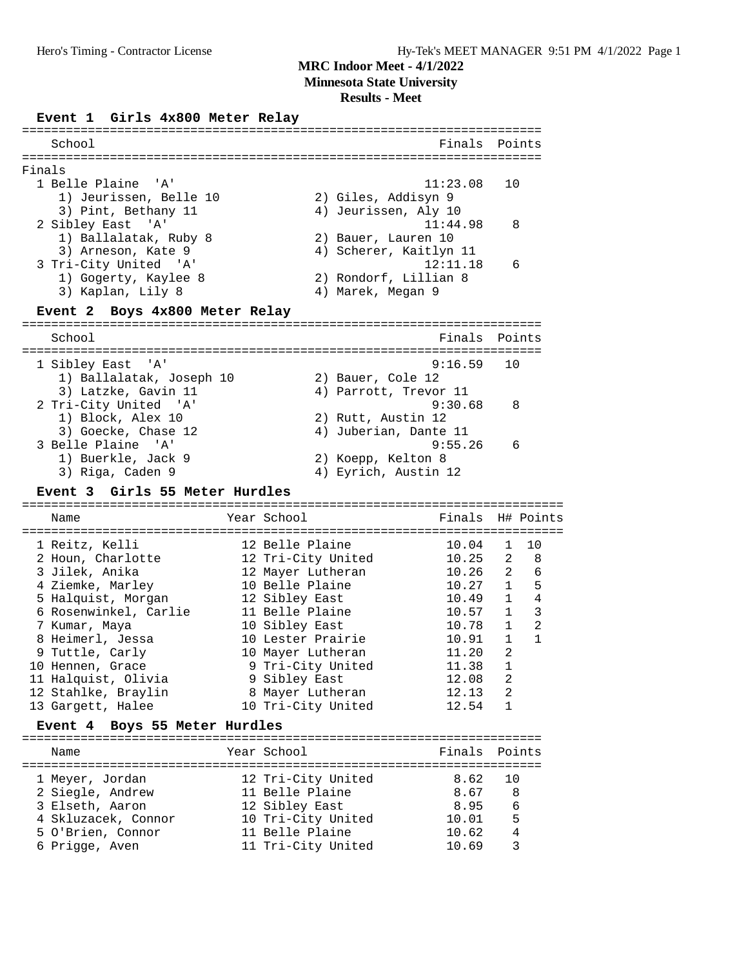**Minnesota State University**

## **Results - Meet**

## **Event 1 Girls 4x800 Meter Relay**

| School                                         |                        | Finals   | Points                         |
|------------------------------------------------|------------------------|----------|--------------------------------|
|                                                |                        |          |                                |
| Finals<br>1 Belle Plaine                       |                        | 11:23.08 |                                |
| ' A '<br>1) Jeurissen, Belle 10                | 2) Giles, Addisyn 9    |          | 10                             |
| 3) Pint, Bethany 11                            | 4) Jeurissen, Aly 10   |          |                                |
| 2 Sibley East<br>. 'A'                         |                        | 11:44.98 | 8                              |
| 1) Ballalatak, Ruby 8                          | 2) Bauer, Lauren 10    |          |                                |
| 3) Arneson, Kate 9                             | 4) Scherer, Kaitlyn 11 |          |                                |
| 3 Tri-City United<br>$^{\prime}$ A $^{\prime}$ |                        | 12:11.18 | 6                              |
| 1) Gogerty, Kaylee 8                           | 2) Rondorf, Lillian 8  |          |                                |
| 3) Kaplan, Lily 8                              | 4) Marek, Megan 9      |          |                                |
| Event 2 Boys 4x800 Meter Relay                 |                        |          |                                |
|                                                |                        |          |                                |
| School                                         |                        | Finals   | Points<br>==========           |
| 1 Sibley East<br>'' A '                        |                        | 9:16.59  | 10                             |
| 1) Ballalatak, Joseph 10                       | 2) Bauer, Cole 12      |          |                                |
| 3) Latzke, Gavin 11                            | 4) Parrott, Trevor 11  |          |                                |
| 2 Tri-City United 'A'                          |                        | 9:30.68  | 8                              |
| 1) Block, Alex 10                              | 2) Rutt, Austin 12     |          |                                |
| 3) Goecke, Chase 12                            | 4) Juberian, Dante 11  |          |                                |
| 3 Belle Plaine 'A'                             |                        | 9:55.26  | 6                              |
| 1) Buerkle, Jack 9                             | 2) Koepp, Kelton 8     |          |                                |
| 3) Riga, Caden 9                               | 4) Eyrich, Austin 12   |          |                                |
| Event 3 Girls 55 Meter Hurdles                 |                        |          |                                |
| Name                                           | Year School            | Finals   | H# Points                      |
|                                                |                        |          |                                |
| 1 Reitz, Kelli                                 | 12 Belle Plaine        | 10.04    | $\mathbf{1}$<br>10             |
| 2 Houn, Charlotte                              | 12 Tri-City United     | 10.25    | 2<br>8                         |
| 3 Jilek, Anika                                 | 12 Mayer Lutheran      | 10.26    | 2<br>6                         |
| 4 Ziemke, Marley                               | 10 Belle Plaine        | 10.27    | 5<br>$\mathbf{1}$              |
| 5 Halquist, Morgan                             | 12 Sibley East         | 10.49    | $\overline{4}$<br>$\mathbf{1}$ |
| 6 Rosenwinkel, Carlie                          | 11 Belle Plaine        | 10.57    | 3<br>$\mathbf{1}$              |
| 7 Kumar, Maya                                  | 10 Sibley East         | 10.78    | $\overline{2}$<br>$\mathbf{1}$ |
| 8 Heimerl, Jessa                               | 10 Lester Prairie      | 10.91    | $\mathbf{1}$<br>$\mathbf{1}$   |
| 9 Tuttle, Carly                                | 10 Mayer Lutheran      | 11.20    | 2                              |
| 10 Hennen, Grace                               | 9 Tri-City United      | 11.38    | $\mathbf{1}$                   |
| 11 Halquist, Olivia                            | 9 Sibley East          | 12.08    | 2                              |
| 12 Stahlke, Braylin                            | 8 Mayer Lutheran       | 12.13    | 2                              |
| 13 Gargett, Halee                              | 10 Tri-City United     | 12.54    | $\mathbf{1}$                   |
| Boys 55 Meter Hurdles<br>Event 4               |                        |          |                                |
| Name                                           | Year School            | Finals   | Points                         |
|                                                |                        |          |                                |
| 1 Meyer, Jordan                                | 12 Tri-City United     | 8.62     | 10                             |
| 2 Siegle, Andrew                               | 11 Belle Plaine        | 8.67     | 8                              |
| 3 Elseth, Aaron                                | 12 Sibley East         | 8.95     | 6                              |
| 4 Skluzacek, Connor                            | 10 Tri-City United     | 10.01    | 5                              |
| 5 O'Brien, Connor                              | 11 Belle Plaine        | 10.62    | 4                              |
| 6 Prigge, Aven                                 | 11 Tri-City United     | 10.69    | 3                              |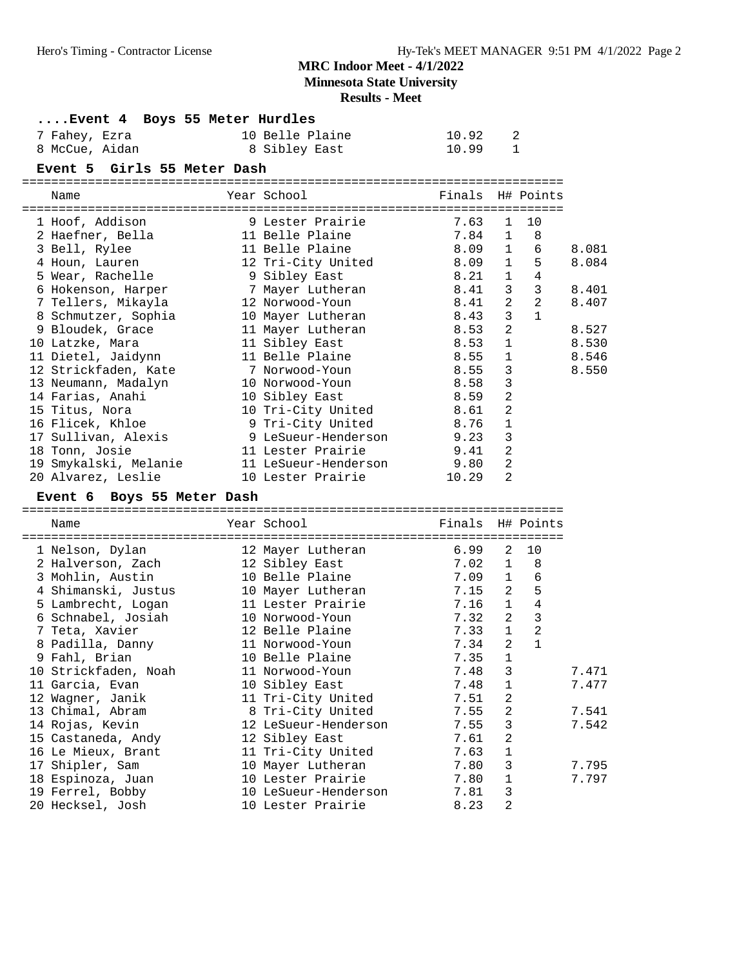**Minnesota State University**

#### **Results - Meet**

## **....Event 4 Boys 55 Meter Hurdles**

| 7 Fahey, Ezra  | 10 Belle Plaine | 10.92 |  |
|----------------|-----------------|-------|--|
| 8 McCue, Aidan | 8 Sibley East   | 10.99 |  |

#### **Event 5 Girls 55 Meter Dash**

========================================================================== Finals H# Points

| Ndilie                                | IEAL DUNUUI          | LINGIS U# ROTHES |                |                                |       |
|---------------------------------------|----------------------|------------------|----------------|--------------------------------|-------|
| 1 Hoof, Addison                       | 9 Lester Prairie     | 7.63             | $\mathbf{1}$   | 10                             |       |
|                                       |                      |                  |                |                                |       |
| 2 Haefner, Bella                      | 11 Belle Plaine      | 7.84             | $\mathbf{1}$   | 8                              |       |
| 3 Bell, Rylee                         | 11 Belle Plaine      | 8.09 1           |                | 6                              | 8.081 |
| 4 Houn, Lauren                        | 12 Tri-City United   | 8.09             |                | 1<br>5                         | 8.084 |
| 5 Wear, Rachelle                      | 9 Sibley East        | 8.21             | $\mathbf{1}$   | 4                              |       |
| 6 Hokenson, Harper 5 7 Mayer Lutheran |                      | 8.41             |                | 3 <sup>7</sup><br>$\mathbf{3}$ | 8.401 |
| 7 Tellers, Mikayla                    | 12 Norwood-Youn      | 8.41             |                | $2^{\circ}$<br>2               | 8.407 |
| 8 Schmutzer, Sophia                   | 10 Mayer Lutheran    | 8.43             | $\overline{3}$ | $\mathbf{1}$                   |       |
| 9 Bloudek, Grace                      | 11 Mayer Lutheran    | 8.53             | $\overline{a}$ |                                | 8.527 |
| 10 Latzke, Mara                       | 11 Sibley East       | 8.53             | $\mathbf{1}$   |                                | 8.530 |
| 11 Dietel, Jaidynn                    | 11 Belle Plaine      | 8.55             | $\mathbf{1}$   |                                | 8.546 |
| 12 Strickfaden, Kate                  | 7 Norwood-Youn       | 8.55             | 3              |                                | 8.550 |
| 13 Neumann, Madalyn                   | 10 Norwood-Youn      | 8.58             | 3              |                                |       |
| 14 Farias, Anahi                      | 10 Sibley East       | 8.59             | $\overline{2}$ |                                |       |
| 15 Titus, Nora                        | 10 Tri-City United   | 8.61             | 2              |                                |       |
| 16 Flicek, Khloe                      | 9 Tri-City United    | 8.76             | $\mathbf{1}$   |                                |       |
| 17 Sullivan, Alexis                   | 9 LeSueur-Henderson  | 9.23             | 3              |                                |       |
| 18 Tonn, Josie                        | 11 Lester Prairie    | 9.41             | $\overline{2}$ |                                |       |
| 19 Smykalski, Melanie                 | 11 LeSueur-Henderson | 9.80             | 2              |                                |       |
| 20 Alvarez, Leslie                    | 10 Lester Prairie    | 10.29            | 2              |                                |       |

#### **Event 6 Boys 55 Meter Dash**

| Name                 | Year School                                 | Finals H# Points |                |                     |       |
|----------------------|---------------------------------------------|------------------|----------------|---------------------|-------|
| 1 Nelson, Dylan      | ======================<br>12 Mayer Lutheran | 6.99             | 2              | 10                  |       |
| 2 Halverson, Zach    | 12 Sibley East                              | 7.02             | $\mathbf{1}$   | 8                   |       |
| 3 Mohlin, Austin     | 10 Belle Plaine                             | 7.09             | $\mathbf{1}$   | 6                   |       |
| 4 Shimanski, Justus  | 10 Mayer Lutheran                           | $7.15$ 2         |                | 5                   |       |
| 5 Lambrecht, Logan   | 11 Lester Prairie                           | 7.16             | $\mathbf{1}$   | $\overline{4}$      |       |
| 6 Schnabel, Josiah   | 10 Norwood-Youn                             | 7.32             | $\overline{2}$ | $\mathbf{3}$        |       |
| 7 Teta, Xavier       | 12 Belle Plaine                             | 7.33             |                | $\overline{2}$<br>1 |       |
| 8 Padilla, Danny     | 11 Norwood-Youn                             | 7.34             | $\overline{a}$ | $\mathbf{1}$        |       |
| 9 Fahl, Brian        | 10 Belle Plaine                             | 7.35             | $\mathbf 1$    |                     |       |
| 10 Strickfaden, Noah | 11 Norwood-Youn                             | 7.48             | 3              |                     | 7.471 |
| 11 Garcia, Evan      | 10 Sibley East                              | 7.48             | $\mathbf{1}$   |                     | 7.477 |
| 12 Waqner, Janik     | 11 Tri-City United                          | 7.51             | $\overline{a}$ |                     |       |
| 13 Chimal, Abram     | 8 Tri-City United                           | 7.55             | 2              |                     | 7.541 |
| 14 Rojas, Kevin      | 12 LeSueur-Henderson                        | 7.55             | 3              |                     | 7.542 |
| 15 Castaneda, Andy   | 12 Sibley East                              | 7.61             | 2              |                     |       |
| 16 Le Mieux, Brant   | 11 Tri-City United                          | 7.63             | $\mathbf 1$    |                     |       |
| 17 Shipler, Sam      | 10 Mayer Lutheran                           | 7.80             | 3              |                     | 7.795 |
| 18 Espinoza, Juan    | 10 Lester Prairie                           | 7.80             | $\mathbf{1}$   |                     | 7.797 |
| 19 Ferrel, Bobby     | 10 LeSueur-Henderson                        | 7.81             | 3              |                     |       |
| 20 Hecksel, Josh     | 10 Lester Prairie                           | 8.23             | 2              |                     |       |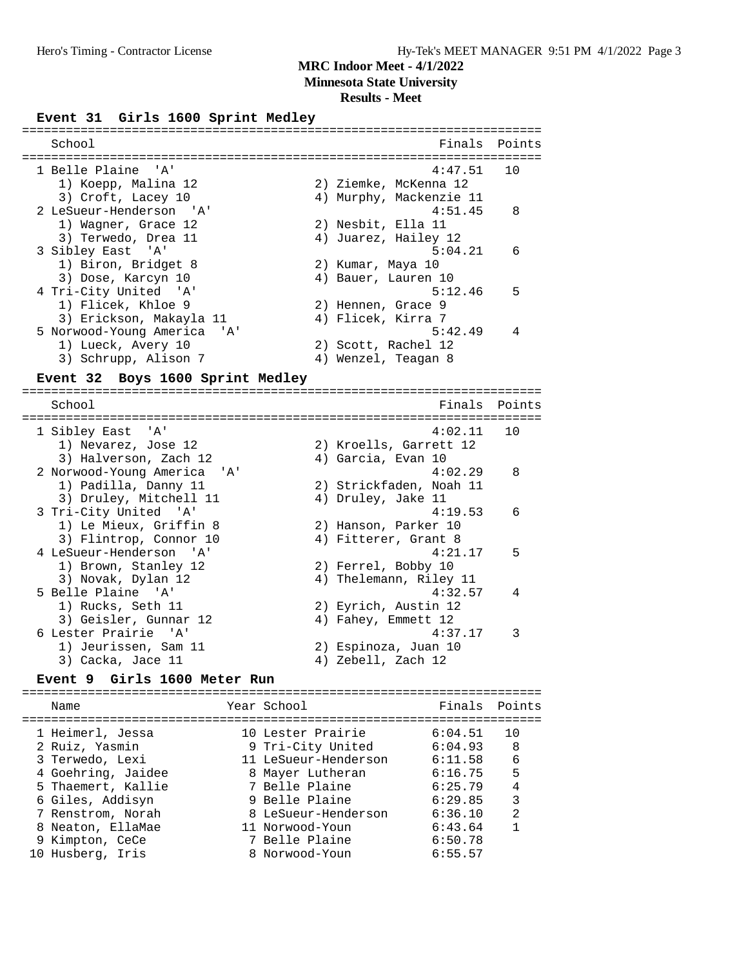**Minnesota State University**

#### **Results - Meet**

#### Event 31 Girls 1600 Sprint Medley

| School                      |                         | Finals Points |
|-----------------------------|-------------------------|---------------|
|                             |                         |               |
| 1 Belle Plaine 'A'          | 4:47.51                 | 10            |
| 1) Koepp, Malina 12         | 2) Ziemke, McKenna 12   |               |
| 3) Croft, Lacey 10          | 4) Murphy, Mackenzie 11 |               |
| 2 LeSueur-Henderson 'A'     | 4:51.45                 | 8             |
| 1) Wagner, Grace 12         | 2) Nesbit, Ella 11      |               |
| 3) Terwedo, Drea 11         | 4) Juarez, Hailey 12    |               |
| 3 Sibley East 'A'           | 5:04.21                 | 6             |
| 1) Biron, Bridget 8         | 2) Kumar, Maya 10       |               |
| 3) Dose, Karcyn 10          | 4) Bauer, Lauren 10     |               |
| 4 Tri-City United 'A'       | 5:12.46                 | 5             |
| 1) Flicek, Khloe 9          | 2) Hennen, Grace 9      |               |
| 3) Erickson, Makayla 11     | 4) Flicek, Kirra 7      |               |
| 5 Norwood-Young America 'A' | 5:42.49                 | 4             |
| 1) Lueck, Avery 10          | 2) Scott, Rachel 12     |               |
| 3) Schrupp, Alison 7        | 4) Wenzel, Teagan 8     |               |
|                             |                         |               |

#### **Event 32 Boys 1600 Sprint Medley**

======================================================================= School **Finals Points** ======================================================================= 1 Sibley East 'A' 4:02.11 10 1) Nevarez, Jose 12 2) Kroells, Garrett 12 3) Halverson, Zach 12 (4) Garcia, Evan 10 2 Norwood-Young America 'A' 4:02.29 8 1) Padilla, Danny 11 2) Strickfaden, Noah 11 3) Druley, Mitchell 11 4) Druley, Jake 11 3 Tri-City United 'A' 4:19.53 6 1) Le Mieux, Griffin 8 2) Hanson, Parker 10 3) Flintrop, Connor 10 (4) Fitterer, Grant 8 4 LeSueur-Henderson 'A' 4:21.17 5 1) Brown, Stanley 12 2) Ferrel, Bobby 10 3) Novak, Dylan 12 4) Thelemann, Riley 11 5 Belle Plaine 'A' 4:32.57 4 1) Rucks, Seth 11 2) Eyrich, Austin 12 3) Geisler, Gunnar 12 (4) Fahey, Emmett 12 6 Lester Prairie 'A' 4:37.17 3 1) Jeurissen, Sam 11 2) Espinoza, Juan 10 3) Cacka, Jace 11 4) Zebell, Zach 12

#### **Event 9 Girls 1600 Meter Run**

======================================================================= Name The Year School Control of Finals Points ======================================================================= 1 Heimerl, Jessa 10 Lester Prairie 6:04.51 10 2 Ruiz, Yasmin 9 Tri-City United 6:04.93 8 3 Terwedo, Lexi 11 LeSueur-Henderson 6:11.58 6 4 Goehring, Jaidee 8 Mayer Lutheran 6:16.75 5 5 Thaemert, Kallie 7 Belle Plaine 6:25.79 4 6 Giles, Addisyn 9 Belle Plaine 6:29.85 3 7 Renstrom, Norah 8 LeSueur-Henderson 6:36.10 2 8 Neaton, EllaMae 11 Norwood-Youn 6:43.64 1 9 Kimpton, CeCe 3 7 Belle Plaine 6:50.78 10 Husberg, Iris 8 Norwood-Youn 6:55.57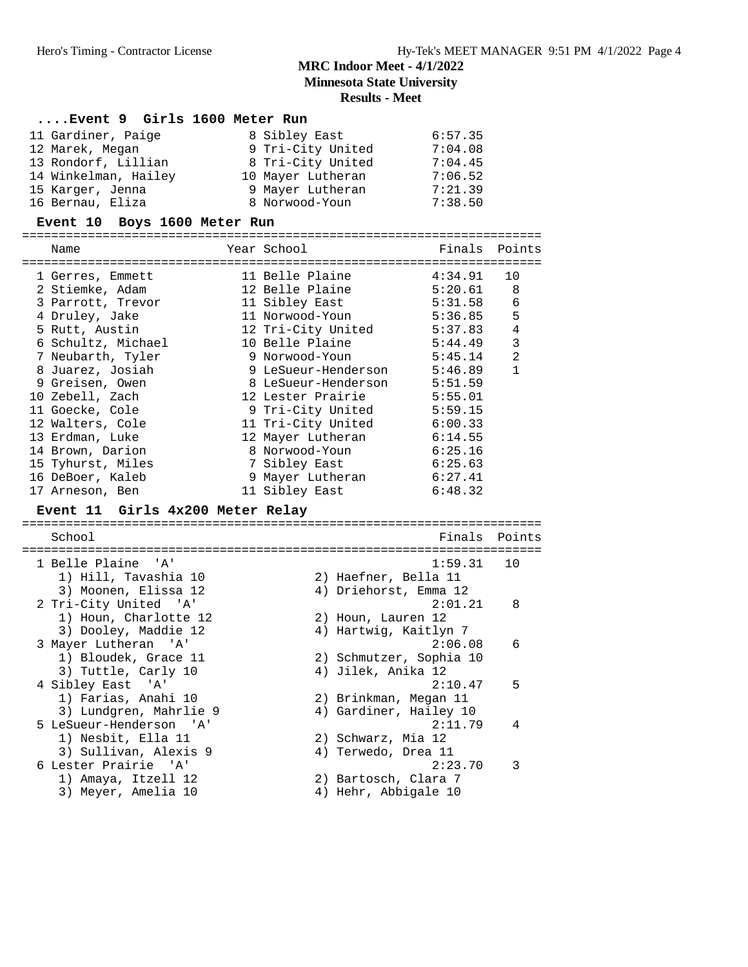# **MRC Indoor Meet - 4/1/2022 Minnesota State University Results - Meet**

| Event 9 Girls 1600 Meter Run                   |                             |               |                 |
|------------------------------------------------|-----------------------------|---------------|-----------------|
| 11 Gardiner, Paige                             | 8 Sibley East 6:57.35       |               |                 |
| 12 Marek, Megan                                | 9 Tri-City United 7:04.08   |               |                 |
| 13 Rondorf, Lillian                            | 8 Tri-City United           | 7:04.45       |                 |
| 14 Winkelman, Hailey 10 Mayer Lutheran 7:06.52 |                             |               |                 |
| 15 Karger, Jenna                               | 9 Mayer Lutheran 7:21.39    |               |                 |
| 16 Bernau, Eliza                               | 8 Norwood-Youn              | 7:38.50       |                 |
| Event 10 Boys 1600 Meter Run                   |                             |               |                 |
|                                                |                             |               |                 |
| Name                                           | Year School                 | Finals Points |                 |
| 1 Gerres, Emmett                               | 11 Belle Plaine             | 4:34.91       | 10              |
| 2 Stiemke, Adam                                | 12 Belle Plaine 5:20.61     |               | 8               |
| 3 Parrott, Trevor 11 Sibley East 5:31.58       |                             |               | $6\phantom{1}6$ |
| 4 Druley, Jake                                 |                             |               | 5               |
| 5 Rutt, Austin                                 | 12 Tri-City United 5:37.83  |               | $\overline{4}$  |
| 6 Schultz, Michael 10 Belle Plaine 5:44.49     |                             |               | 3               |
| 7 Neubarth, Tyler                              | 9 Norwood-Youn 5:45.14      |               | $\overline{2}$  |
| 8 Juarez, Josiah                               | 9 LeSueur-Henderson 5:46.89 |               | $\mathbf{1}$    |
| 9 Greisen, Owen                                | 8 LeSueur-Henderson 5:51.59 |               |                 |
| 10 Zebell, Zach                                | 12 Lester Prairie 5:55.01   |               |                 |
| 11 Goecke, Cole                                | 9 Tri-City United 5:59.15   |               |                 |
| 12 Walters, Cole                               | 11 Tri-City United 6:00.33  |               |                 |
| 13 Erdman, Luke                                | 12 Mayer Lutheran 6:14.55   |               |                 |
| 14 Brown, Darion                               |                             |               |                 |
| 15 Tyhurst, Miles                              | 7 Sibley East               | 6:25.63       |                 |
| 16 DeBoer, Kaleb                               | 9 Mayer Lutheran 6:27.41    |               |                 |
| 17 Arneson, Ben                                | 11 Sibley East              | 6:48.32       |                 |
|                                                |                             |               |                 |

#### **Event 11 Girls 4x200 Meter Relay**

======================================================================= School **Finals Points** ======================================================================= 1 Belle Plaine 'A' 1:59.31 10 1) Hill, Tavashia 10 2) Haefner, Bella 11 3) Moonen, Elissa 12 4) Driehorst, Emma 12 2 Tri-City United 'A' 2:01.21 8 1) Houn, Charlotte 12 2) Houn, Lauren 12 3) Dooley, Maddie 12 4) Hartwig, Kaitlyn 7 3 Mayer Lutheran 'A' 2:06.08 6 1) Bloudek, Grace 11 2) Schmutzer, Sophia 10 3) Tuttle, Carly 10 (4) Jilek, Anika 12 4 Sibley East 'A' 2:10.47 5 1) Farias, Anahi 10 2) Brinkman, Megan 11 3) Lundgren, Mahrlie 9  $\hskip1cm 4)$  Gardiner, Hailey 10 5 LeSueur-Henderson 'A' 2:11.79 4 1) Nesbit, Ella 11 2) Schwarz, Mia 12 3) Sullivan, Alexis 9 4) Terwedo, Drea 11 6 Lester Prairie 'A' 2:23.70 3 1) Amaya, Itzell 12 2) Bartosch, Clara 7 3) Meyer, Amelia 10 (4) Hehr, Abbigale 10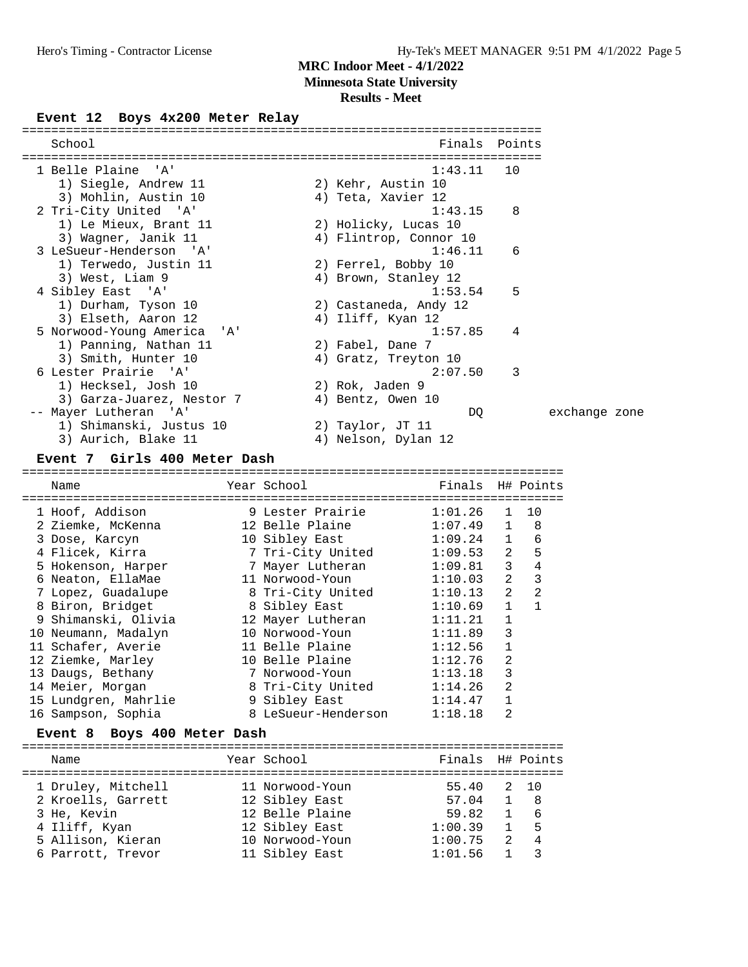**Minnesota State University**

#### **Results - Meet**

### Event 12 Boys  $4x200$  Meter Relay

| School                                                  |                                      | Finals Points          |                |                          |               |
|---------------------------------------------------------|--------------------------------------|------------------------|----------------|--------------------------|---------------|
| 1 Belle Plaine<br>'A'                                   |                                      | 1:43.11                | 10             |                          |               |
| 1) Siegle, Andrew 11                                    | 2) Kehr, Austin 10                   |                        |                |                          |               |
| 3) Mohlin, Austin 10                                    | 4) Teta, Xavier 12                   |                        |                |                          |               |
| 2 Tri-City United 'A'                                   |                                      | 1:43.15                | 8              |                          |               |
| 1) Le Mieux, Brant 11                                   | 2) Holicky, Lucas 10                 |                        |                |                          |               |
| 3) Wagner, Janik 11                                     |                                      | 4) Flintrop, Connor 10 |                |                          |               |
| 3 LeSueur-Henderson 'A'                                 |                                      | 1:46.11                |                | 6                        |               |
| 1) Terwedo, Justin 11                                   | 2) Ferrel, Bobby 10                  |                        |                |                          |               |
| 3) West, Liam 9                                         | 4) Brown, Stanley 12                 |                        |                |                          |               |
| 4 Sibley East 'A'                                       |                                      | 1:53.54                |                | 5                        |               |
| 1) Durham, Tyson 10                                     | 2) Castaneda, Andy 12                |                        |                |                          |               |
| 3) Elseth, Aaron 12                                     | 4) Iliff, Kyan 12                    | 1:57.85                |                |                          |               |
| 5 Norwood-Young America<br>'A'<br>1) Panning, Nathan 11 | 2) Fabel, Dane 7                     |                        |                | 4                        |               |
| 3) Smith, Hunter 10                                     | 4) Gratz, Treyton 10                 |                        |                |                          |               |
| 6 Lester Prairie 'A'                                    |                                      | 2:07.50                |                | 3                        |               |
| 1) Hecksel, Josh 10                                     | 2) Rok, Jaden 9                      |                        |                |                          |               |
| 3) Garza-Juarez, Nestor 7                               | 4) Bentz, Owen 10                    |                        |                |                          |               |
| ' A '<br>-- Mayer Lutheran                              |                                      | DQ                     |                |                          | exchange zone |
| 1) Shimanski, Justus 10                                 | 2) Taylor, JT 11                     |                        |                |                          |               |
| 3) Aurich, Blake 11                                     | 4) Nelson, Dylan 12                  |                        |                |                          |               |
| Event 7 Girls 400 Meter Dash                            |                                      |                        |                |                          |               |
|                                                         |                                      |                        |                |                          |               |
|                                                         |                                      |                        |                |                          |               |
| Name                                                    | Year School                          | Finals H# Points       |                |                          |               |
|                                                         |                                      |                        | 1              | 10                       |               |
| 1 Hoof, Addison<br>2 Ziemke, McKenna                    | 9 Lester Prairie<br>12 Belle Plaine  | 1:01.26<br>1:07.49     | 1              | 8                        |               |
| 3 Dose, Karcyn                                          | 10 Sibley East                       | 1:09.24                | 1              | $\epsilon$               |               |
| 4 Flicek, Kirra                                         | 7 Tri-City United                    | 1:09.53                | $\overline{2}$ | 5                        |               |
| 5 Hokenson, Harper                                      | 7 Mayer Lutheran                     | 1:09.81                | 3              | $\overline{4}$           |               |
| 6 Neaton, EllaMae                                       | 11 Norwood-Youn                      | 1:10.03                | $\overline{a}$ | $\overline{\phantom{a}}$ |               |
| 7 Lopez, Guadalupe                                      | 8 Tri-City United                    | 1:10.13                | 2              | $\overline{c}$           |               |
| 8 Biron, Bridget                                        | 8 Sibley East                        | 1:10.69                | 1              | $\mathbf{1}$             |               |
| 9 Shimanski, Olivia                                     | 12 Mayer Lutheran                    | 1:11.21                | 1              |                          |               |
| 10 Neumann, Madalyn                                     | 10 Norwood-Youn                      | 1:11.89                | 3              |                          |               |
| 11 Schafer, Averie                                      | 11 Belle Plaine                      | 1:12.56                | 1              |                          |               |
| 12 Ziemke, Marley                                       | 10 Belle Plaine                      | 1:12.76                | 2              |                          |               |
| 13 Daugs, Bethany                                       | 7 Norwood-Youn                       | 1:13.18                | 3              |                          |               |
| 14 Meier, Morgan                                        | 8 Tri-City United                    | 1:14.26<br>1:14.47     | 2<br>1         |                          |               |
| 15 Lundgren, Mahrlie<br>16 Sampson, Sophia              | 9 Sibley East<br>8 LeSueur-Henderson | 1:18.18                | 2              |                          |               |
| Boys 400 Meter Dash<br>Event 8                          |                                      |                        |                |                          |               |
| Name                                                    | Year School                          | Finals                 |                |                          |               |
|                                                         |                                      |                        |                | H# Points                |               |
| 1 Druley, Mitchell<br>2 Kroells, Garrett                | 11 Norwood-Youn<br>12 Sibley East    | 55.40                  | 2              | 10                       |               |

 3 He, Kevin 12 Belle Plaine 59.82 1 6 4 Iliff, Kyan 12 Sibley East 1:00.39 1 5 5 Allison, Kieran 10 Norwood-Youn 1:00.75 2 4 6 Parrott, Trevor 11 Sibley East 1:01.56 1 3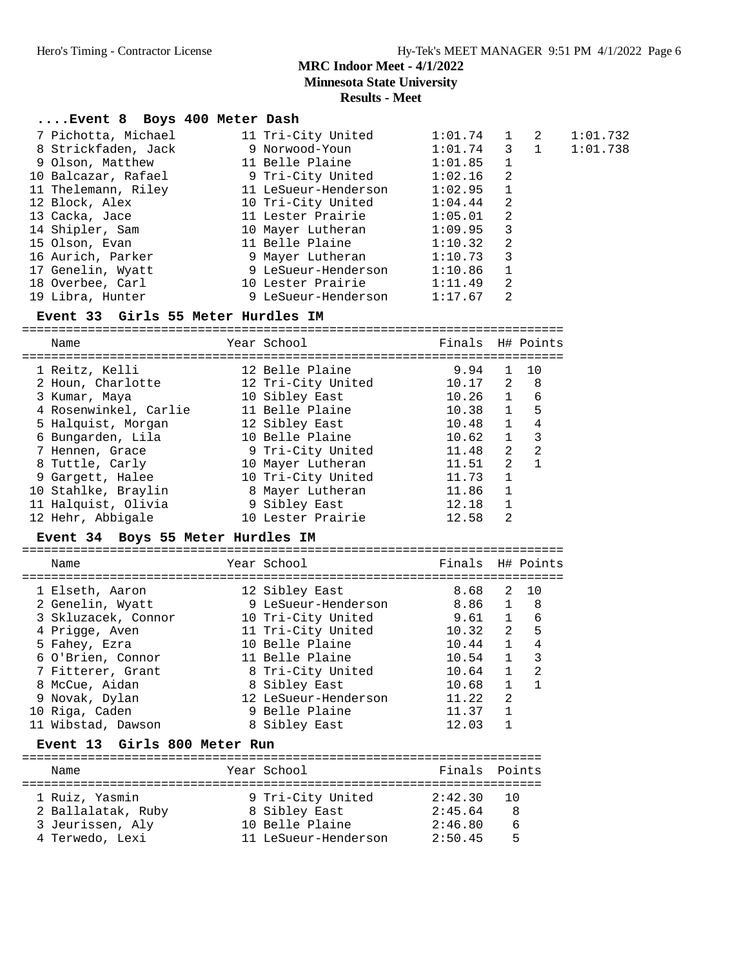#### **Results - Meet**

| Event 8 Boys 400 Meter Dash        |                                          |               |   |          |
|------------------------------------|------------------------------------------|---------------|---|----------|
| 7 Pichotta, Michael                | 11 Tri-City United                       | $1:01.74$ 1 2 |   | 1:01.732 |
| 8 Strickfaden, Jack                | 9 Norwood-Youn                           | $1:01.74$ 3 1 |   | 1:01.738 |
|                                    | 9 Olson, Matthew 11 Belle Plaine         | $1:01.85$ 1   |   |          |
| 10 Balcazar, Rafael                | 9 Tri-City United                        | $1:02.16$ 2   |   |          |
|                                    | 11 Thelemann, Riley 11 LeSueur-Henderson | $1:02.95$ 1   |   |          |
| 12 Block, Alex                     | 10 Tri-City United                       | $1:04.44$ 2   |   |          |
| 13 Cacka, Jace                     | 11 Lester Prairie                        | $1:05.01$ 2   |   |          |
| 14 Shipler, Sam                    | 10 Mayer Lutheran                        | $1:09.95$ 3   |   |          |
| 15 Olson, Evan                     | 11 Belle Plaine                          | 1:10.32 2     |   |          |
| 16 Aurich, Parker                  | 9 Mayer Lutheran                         | 1:10.73 3     |   |          |
| 17 Genelin, Wyatt                  | 9 LeSueur-Henderson                      | $1:10.86$ 1   |   |          |
| 18 Overbee, Carl                   | 10 Lester Prairie                        | 1:11.49       | 2 |          |
| 19 Libra, Hunter                   | 9 LeSueur-Henderson                      | 1:17.67       | 2 |          |
| Event 33 Girls 55 Meter Hurdles IM |                                          |               |   |          |

==========================================================================

| 9.94  | $\mathbf{1}$   | 10                                   |
|-------|----------------|--------------------------------------|
|       |                | - 8                                  |
|       | $\overline{1}$ | 6                                    |
| 10.38 | $\mathbf{1}$   | 5                                    |
| 10.48 | $\overline{1}$ | 4                                    |
| 10.62 | $\mathbf{1}$   | 3                                    |
| 11.48 | $\mathcal{L}$  | $\mathcal{L}$                        |
| 11.51 | $\mathfrak{D}$ |                                      |
| 11.73 | $\mathbf{1}$   |                                      |
| 11.86 | 1              |                                      |
| 12.18 | $\mathbf{1}$   |                                      |
| 12.58 | $\mathfrak{D}$ |                                      |
|       |                | Finals H# Points<br>10.17 2<br>10.26 |

#### **Event 34 Boys 55 Meter Hurdles IM**

| Name                                                                                                                                                                                          | Year School                                                                                                                                                                                             | Finals H# Points                                                                                                                                                                                                                                                                                    |  |
|-----------------------------------------------------------------------------------------------------------------------------------------------------------------------------------------------|---------------------------------------------------------------------------------------------------------------------------------------------------------------------------------------------------------|-----------------------------------------------------------------------------------------------------------------------------------------------------------------------------------------------------------------------------------------------------------------------------------------------------|--|
| 1 Elseth, Aaron<br>2 Genelin, Wyatt<br>3 Skluzacek, Connor<br>4 Prigge, Aven<br>5 Fahey, Ezra<br>6 O'Brien, Connor<br>7 Fitterer, Grant<br>8 McCue, Aidan<br>9 Novak, Dylan<br>10 Riga, Caden | 12 Sibley East<br>9 LeSueur-Henderson<br>10 Tri-City United<br>11 Tri-City United<br>10 Belle Plaine<br>11 Belle Plaine<br>8 Tri-City United<br>8 Sibley East<br>12 LeSueur-Henderson<br>9 Belle Plaine | 1 O<br>8.68<br>2<br>8.86 1<br>- 8<br>$1 \quad \blacksquare$<br>6<br>9.61<br>$2^{\circ}$<br>5<br>10.32<br>$\overline{1}$<br>$\overline{4}$<br>10.44<br>$\overline{1}$<br>3<br>10.54<br>$10.64$ 1<br>$\overline{2}$<br>$\mathbf{1}$<br>$\overline{1}$<br>10.68<br>2<br>11.22<br>$\mathbf{1}$<br>11.37 |  |
| 11 Wibstad, Dawson                                                                                                                                                                            | 8 Sibley East                                                                                                                                                                                           | 12.03                                                                                                                                                                                                                                                                                               |  |
| Event 13 Girls 800 Meter Run                                                                                                                                                                  |                                                                                                                                                                                                         |                                                                                                                                                                                                                                                                                                     |  |

#### ======================================================================= Name Year School Finals Points ======================================================================= 1 Ruiz, Yasmin 9 Tri-City United 2:42.30 10 2 Ballalatak, Ruby 8 Sibley East 2:45.64 8 3 Jeurissen, Aly 10 Belle Plaine 2:46.80 6

4 Terwedo, Lexi 11 LeSueur-Henderson 2:50.45 5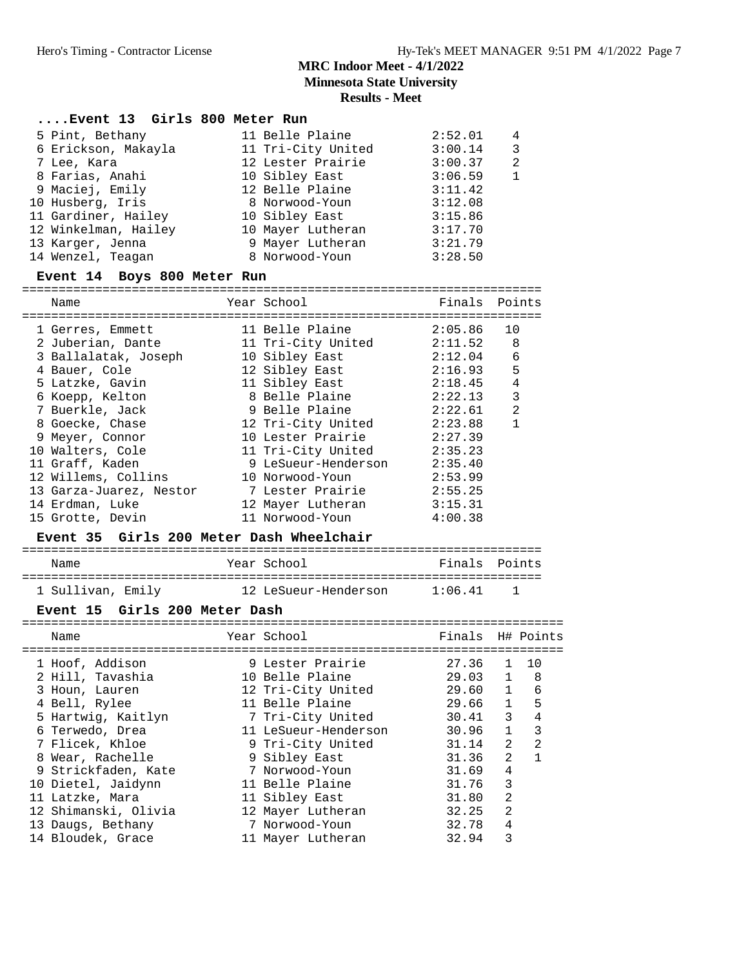# **Results - Meet**

# **....Event 13 Girls 800 Meter Run**

| 5 Pint, Bethany      | 11 Belle Plaine    | 2:52.01 | 4 |
|----------------------|--------------------|---------|---|
| 6 Erickson, Makayla  | 11 Tri-City United | 3:00.14 | 3 |
| 7 Lee, Kara          | 12 Lester Prairie  | 3:00.37 | 2 |
| 8 Farias, Anahi      | 10 Sibley East     | 3:06.59 |   |
| 9 Maciej, Emily      | 12 Belle Plaine    | 3:11.42 |   |
| 10 Husberg, Iris     | 8 Norwood-Youn     | 3:12.08 |   |
| 11 Gardiner, Hailey  | 10 Sibley East     | 3:15.86 |   |
| 12 Winkelman, Hailey | 10 Mayer Lutheran  | 3:17.70 |   |
| 13 Karger, Jenna     | 9 Mayer Lutheran   | 3:21.79 |   |
| 14 Wenzel, Teagan    | 8 Norwood-Youn     | 3:28.50 |   |

#### **Event 14 Boys 800 Meter Run**

======================================================================= Name  $Year School$  Finals Points

| 1 Gerres, Emmett        | 11 Belle Plaine     | 2:05.86 | 10             |
|-------------------------|---------------------|---------|----------------|
| 2 Juberian, Dante       | 11 Tri-City United  | 2:11.52 | 8              |
| 3 Ballalatak, Joseph    | 10 Sibley East      | 2:12.04 | 6              |
| 4 Bauer, Cole           | 12 Sibley East      | 2:16.93 | 5              |
| 5 Latzke, Gavin         | 11 Sibley East      | 2:18.45 | 4              |
| 6 Koepp, Kelton         | 8 Belle Plaine      | 2:22.13 | 3              |
| 7 Buerkle, Jack         | 9 Belle Plaine      | 2:22.61 | $\mathfrak{D}$ |
| 8 Goecke, Chase         | 12 Tri-City United  | 2:23.88 |                |
| 9 Meyer, Connor         | 10 Lester Prairie   | 2:27.39 |                |
| 10 Walters, Cole        | 11 Tri-City United  | 2:35.23 |                |
| 11 Graff, Kaden         | 9 LeSueur-Henderson | 2:35.40 |                |
| 12 Willems, Collins     | 10 Norwood-Youn     | 2:53.99 |                |
| 13 Garza-Juarez, Nestor | 7 Lester Prairie    | 2:55.25 |                |
| 14 Erdman, Luke         | 12 Mayer Lutheran   | 3:15.31 |                |
| 15 Grotte, Devin        | 11 Norwood-Youn     | 4:00.38 |                |
|                         |                     |         |                |

#### **Event 35 Girls 200 Meter Dash Wheelchair**

| Name              | Year School          | Finals Points |  |
|-------------------|----------------------|---------------|--|
|                   |                      |               |  |
| 1 Sullivan, Emily | 12 LeSueur-Henderson | 1:06.41       |  |

#### **Event 15 Girls 200 Meter Dash**

| Name                 | Year School          | Finals H# Points |                |                |
|----------------------|----------------------|------------------|----------------|----------------|
| 1 Hoof, Addison      | 9 Lester Prairie     | 27.36            |                | $1 \quad 10$   |
| 2 Hill, Tavashia     | 10 Belle Plaine      | 29.03            |                | $1 \quad 8$    |
| 3 Houn, Lauren       | 12 Tri-City United   | 29.60            | 1              | 6              |
| 4 Bell, Rylee        | 11 Belle Plaine      | 29.66            | 1              | 5              |
| 5 Hartwig, Kaitlyn   | 7 Tri-City United    | 30.41            | $\overline{3}$ | $\overline{4}$ |
| 6 Terwedo, Drea      | 11 LeSueur-Henderson | 30.96            | $\mathbf{1}$   | 3              |
| 7 Flicek, Khloe      | 9 Tri-City United    | 31.14            | $\overline{2}$ | 2              |
| 8 Wear, Rachelle     | 9 Sibley East        | 31.36            | 2              | $\mathbf{1}$   |
| 9 Strickfaden, Kate  | 7 Norwood-Youn       | 31.69            | 4              |                |
| 10 Dietel, Jaidynn   | 11 Belle Plaine      | 31.76            | 3              |                |
| 11 Latzke, Mara      | 11 Sibley East       | 31.80            | $\overline{2}$ |                |
| 12 Shimanski, Olivia | 12 Mayer Lutheran    | 32.25            | $\overline{2}$ |                |
| 13 Daugs, Bethany    | 7 Norwood-Youn       | 32.78            | 4              |                |
| 14 Bloudek, Grace    | 11 Mayer Lutheran    | 32.94            | 3              |                |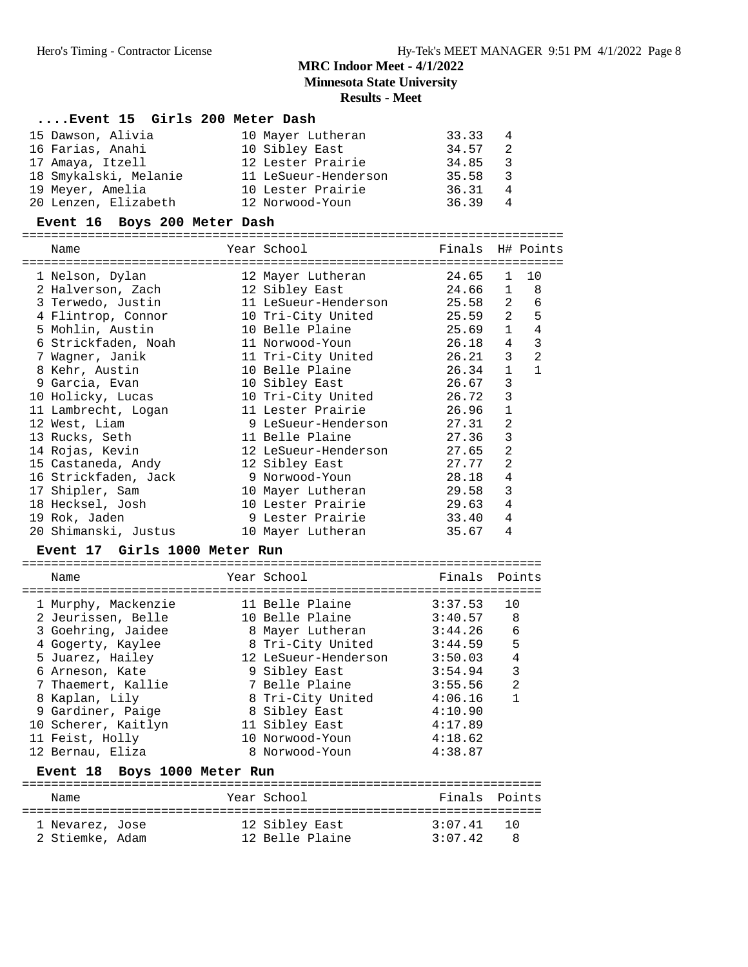**Minnesota State University**

# **Results - Meet**

| Event 15 Girls 200 Meter Dash |                                                           |                  |                |                     |
|-------------------------------|-----------------------------------------------------------|------------------|----------------|---------------------|
| 15 Dawson, Alivia             | 10 Mayer Lutheran                                         | 33.33            | 4              |                     |
| 16 Farias, Anahi              | 10 Sibley East                                            | 34.57            | 2              |                     |
| 17 Amaya, Itzell              | 12 Lester Prairie 34.85                                   |                  | $\overline{3}$ |                     |
| 18 Smykalski, Melanie         |                                                           |                  | $\overline{3}$ |                     |
| 19 Meyer, Amelia              | 10 Lester Prairie 36.31                                   |                  | $\overline{4}$ |                     |
| 20 Lenzen, Elizabeth          | 12 Norwood-Youn                                           | 36.39            | 4              |                     |
| Event 16 Boys 200 Meter Dash  |                                                           |                  |                |                     |
| Name                          | Year School                                               | Finals H# Points |                |                     |
| 1 Nelson, Dylan               | ==============================<br>12 Mayer Lutheran 24.65 |                  | 1              | 10                  |
| 2 Halverson, Zach             | 12 Sibley East                                            | 24.66 1 8        |                |                     |
| 3 Terwedo, Justin             |                                                           |                  |                |                     |
| 4 Flintrop, Connor            | 10 Tri-City United 25.59 2 5                              |                  |                |                     |
| 5 Mohlin, Austin              | 10 Belle Plaine 25.69                                     |                  |                | $\overline{4}$<br>1 |
| 6 Strickfaden, Noah           | 11 Norwood-Youn 26.18 4                                   |                  |                | $\overline{3}$      |
| 7 Wagner, Janik               | 11 Tri-City United 26.21                                  |                  | $\overline{3}$ | $\overline{2}$      |
| 8 Kehr, Austin                | 10 Belle Plaine                                           | 26.34            | $\mathbf{1}$   | $\mathbf{1}$        |
| 9 Garcia, Evan                | 10 Sibley East                                            | 26.67            | $\overline{3}$ |                     |
| 10 Holicky, Lucas             | 10 Tri-City United 26.72                                  |                  | $\overline{3}$ |                     |
| 11 Lambrecht, Logan           | 11 Lester Prairie 26.96                                   |                  | $\mathbf{1}$   |                     |
| 12 West, Liam                 | 9 LeSueur-Henderson 27.31                                 |                  | $\overline{2}$ |                     |
| 13 Rucks, Seth                | 11 Belle Plaine                                           | 27.36            | $\mathbf{3}$   |                     |
| 14 Rojas, Kevin               | 12 LeSueur-Henderson 27.65                                |                  | $\overline{2}$ |                     |
| 15 Castaneda, Andy            | 12 Sibley East                                            | 27.77            | 2              |                     |
| 16 Strickfaden, Jack          | 9 Norwood-Youn                                            | 28.18            | $\overline{4}$ |                     |
| 17 Shipler, Sam               | 10 Mayer Lutheran 29.58                                   |                  | $\overline{3}$ |                     |
| 18 Hecksel, Josh              | 10 Lester Prairie 29.63                                   |                  | 4              |                     |
| 19 Rok, Jaden                 | 9 Lester Prairie                                          | 33.40            | 4              |                     |
| 20 Shimanski, Justus          | 10 Mayer Lutheran                                         | 35.67            | 4              |                     |

#### **Event 17 Girls 1000 Meter Run**

| Name                |  | Finals Points                                                                                                                                                                                                                                      |                |
|---------------------|--|----------------------------------------------------------------------------------------------------------------------------------------------------------------------------------------------------------------------------------------------------|----------------|
| 1 Murphy, Mackenzie |  | 3:37.53                                                                                                                                                                                                                                            | 10             |
| 2 Jeurissen, Belle  |  | 3:40.57                                                                                                                                                                                                                                            | 8              |
| 3 Goehring, Jaidee  |  | 3:44.26                                                                                                                                                                                                                                            | 6              |
| 4 Gogerty, Kaylee   |  | 3:44.59                                                                                                                                                                                                                                            | 5              |
| 5 Juarez, Hailey    |  | 3:50.03                                                                                                                                                                                                                                            | $\overline{4}$ |
| 6 Arneson, Kate     |  | 3:54.94                                                                                                                                                                                                                                            | 3              |
| 7 Thaemert, Kallie  |  | 3:55.56                                                                                                                                                                                                                                            | $\mathfrak{D}$ |
| 8 Kaplan, Lily      |  | 4:06.16                                                                                                                                                                                                                                            |                |
| 9 Gardiner, Paige   |  | 4:10.90                                                                                                                                                                                                                                            |                |
| 10 Scherer, Kaitlyn |  | 4:17.89                                                                                                                                                                                                                                            |                |
| 11 Feist, Holly     |  | 4:18.62                                                                                                                                                                                                                                            |                |
| 12 Bernau, Eliza    |  | 4:38.87                                                                                                                                                                                                                                            |                |
|                     |  | Year School<br>11 Belle Plaine<br>10 Belle Plaine<br>8 Mayer Lutheran<br>8 Tri-City United<br>12 LeSueur-Henderson<br>9 Sibley East<br>7 Belle Plaine<br>8 Tri-City United<br>8 Sibley East<br>11 Sibley East<br>10 Norwood-Youn<br>8 Norwood-Youn |                |

#### **Event 18 Boys 1000 Meter Run**

| Name            | Year School     | Finals Points |        |
|-----------------|-----------------|---------------|--------|
| 1 Nevarez, Jose | 12 Sibley East  | 3:07 41       | ່ 1 ປີ |
| 2 Stiemke, Adam | 12 Belle Plaine | 3:07.42       |        |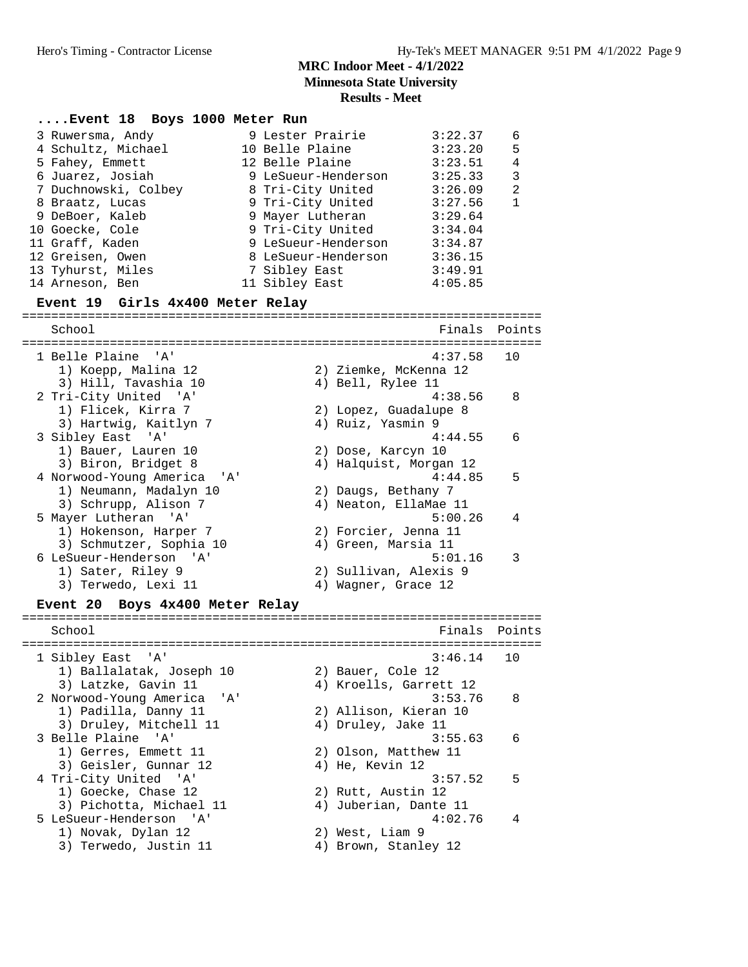|                                                                                                                                                                                                                                               |                                                                                                                                                                                                                                                   | <b>Results - Meet</b>                        |                                                                                                                                  |                                                      |
|-----------------------------------------------------------------------------------------------------------------------------------------------------------------------------------------------------------------------------------------------|---------------------------------------------------------------------------------------------------------------------------------------------------------------------------------------------------------------------------------------------------|----------------------------------------------|----------------------------------------------------------------------------------------------------------------------------------|------------------------------------------------------|
| Event 18 Boys 1000 Meter Run                                                                                                                                                                                                                  |                                                                                                                                                                                                                                                   |                                              |                                                                                                                                  |                                                      |
| 3 Ruwersma, Andy<br>4 Schultz, Michael<br>5 Fahey, Emmett<br>6 Juarez, Josiah<br>7 Duchnowski, Colbey<br>8 Braatz, Lucas<br>9 DeBoer, Kaleb<br>10 Goecke, Cole<br>11 Graff, Kaden<br>12 Greisen, Owen<br>13 Tyhurst, Miles<br>14 Arneson, Ben | 9 Lester Prairie<br>10 Belle Plaine<br>12 Belle Plaine<br>9 LeSueur-Henderson<br>8 Tri-City United<br>9 Tri-City United<br>9 Mayer Lutheran<br>9 Tri-City United<br>9 LeSueur-Henderson<br>8 LeSueur-Henderson<br>7 Sibley East<br>11 Sibley East |                                              | 3:22.37<br>3:23.20<br>3:23.51<br>3:25.33<br>3:26.09<br>3:27.56<br>3:29.64<br>3:34.04<br>3:34.87<br>3:36.15<br>3:49.91<br>4:05.85 | 6<br>5<br>$\overline{4}$<br>3<br>$\overline{2}$<br>1 |
| Event 19 Girls 4x400 Meter Relay                                                                                                                                                                                                              |                                                                                                                                                                                                                                                   |                                              |                                                                                                                                  |                                                      |
| School                                                                                                                                                                                                                                        |                                                                                                                                                                                                                                                   |                                              | Finals                                                                                                                           | Points                                               |
|                                                                                                                                                                                                                                               |                                                                                                                                                                                                                                                   |                                              |                                                                                                                                  |                                                      |
| 1 Belle Plaine 'A'<br>1) Koepp, Malina 12<br>3) Hill, Tavashia 10                                                                                                                                                                             |                                                                                                                                                                                                                                                   | 2) Ziemke, McKenna 12<br>4) Bell, Rylee 11   | 4:37.58                                                                                                                          | 10                                                   |
| 2 Tri-City United 'A'<br>1) Flicek, Kirra 7<br>3) Hartwig, Kaitlyn 7                                                                                                                                                                          |                                                                                                                                                                                                                                                   | 2) Lopez, Guadalupe 8<br>4) Ruiz, Yasmin 9   | 4:38.56                                                                                                                          | 8                                                    |
| 3 Sibley East 'A'<br>1) Bauer, Lauren 10<br>3) Biron, Bridget 8                                                                                                                                                                               |                                                                                                                                                                                                                                                   | 2) Dose, Karcyn 10<br>4) Halquist, Morgan 12 | 4:44.55                                                                                                                          | 6                                                    |
| 4 Norwood-Young America<br>' A '<br>1) Neumann, Madalyn 10<br>3) Schrupp, Alison 7                                                                                                                                                            |                                                                                                                                                                                                                                                   | 2) Daugs, Bethany 7<br>4) Neaton, EllaMae 11 | 4:44.85                                                                                                                          | 5                                                    |
| 5 Mayer Lutheran 'A'<br>1) Hokenson, Harper 7<br>3) Schmutzer, Sophia 10                                                                                                                                                                      |                                                                                                                                                                                                                                                   | 2) Forcier, Jenna 11<br>4) Green, Marsia 11  | 5:00.26                                                                                                                          | 4                                                    |
| 6 LeSueur-Henderson 'A'<br>1) Sater, Riley 9<br>3) Terwedo, Lexi 11                                                                                                                                                                           |                                                                                                                                                                                                                                                   | 2) Sullivan, Alexis 9<br>4) Wagner, Grace 12 | 5:01.16                                                                                                                          | 3                                                    |
| Boys 4x400 Meter Relay<br><b>Event</b> 20                                                                                                                                                                                                     |                                                                                                                                                                                                                                                   |                                              |                                                                                                                                  |                                                      |
| School                                                                                                                                                                                                                                        |                                                                                                                                                                                                                                                   |                                              | Finals                                                                                                                           | Points                                               |
|                                                                                                                                                                                                                                               |                                                                                                                                                                                                                                                   |                                              |                                                                                                                                  |                                                      |
| 1 Sibley East<br>' A '<br>1) Ballalatak, Joseph 10<br>3) Latzke, Gavin 11                                                                                                                                                                     |                                                                                                                                                                                                                                                   | 2) Bauer, Cole 12<br>4) Kroells, Garrett 12  | 3:46.14                                                                                                                          | 10                                                   |
| 2 Norwood-Young America<br>'' A '<br>1) Padilla, Danny 11<br>3) Druley, Mitchell 11                                                                                                                                                           |                                                                                                                                                                                                                                                   | 2) Allison, Kieran 10<br>4) Druley, Jake 11  | 3:53.76                                                                                                                          | 8                                                    |
| 3 Belle Plaine 'A'<br>1) Gerres, Emmett 11<br>3) Geisler, Gunnar 12                                                                                                                                                                           |                                                                                                                                                                                                                                                   | 2) Olson, Matthew 11<br>4) He, Kevin 12      | 3:55.63                                                                                                                          | 6                                                    |
| 4 Tri-City United 'A'<br>1) Goecke, Chase 12<br>3) Pichotta, Michael 11                                                                                                                                                                       |                                                                                                                                                                                                                                                   | 2) Rutt, Austin 12<br>4) Juberian, Dante 11  | 3:57.52                                                                                                                          | 5                                                    |
| 5 LeSueur-Henderson 'A'<br>1) Novak, Dylan 12<br>3) Terwedo, Justin 11                                                                                                                                                                        |                                                                                                                                                                                                                                                   | 2) West, Liam 9<br>4) Brown, Stanley 12      | 4:02.76                                                                                                                          | 4                                                    |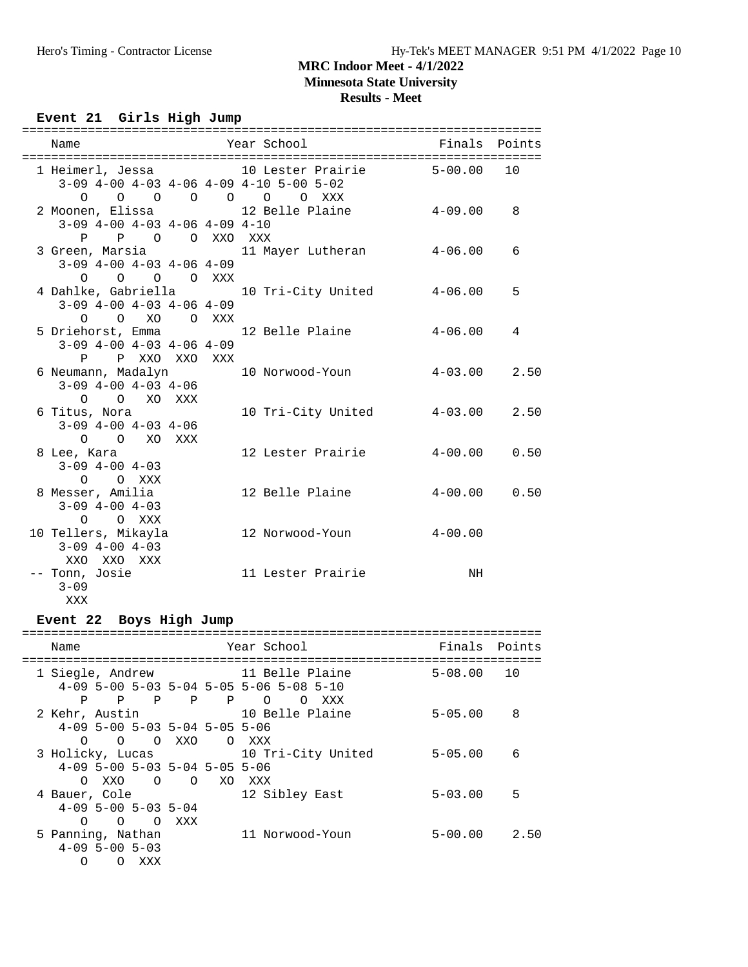**Minnesota State University**

# **Results - Meet**

# Event 21 Girls High Jump

| Name                                      |  | Year School <a> Finals Points</a>                                                                   |            |   |
|-------------------------------------------|--|-----------------------------------------------------------------------------------------------------|------------|---|
|                                           |  | 1 Heimerl, Jessa 10 Lester Prairie 5-00.00 10                                                       |            |   |
|                                           |  | $3-09$ 4-00 4-03 4-06 4-09 4-10 5-00 5-02<br>$\begin{matrix}0&0&0&0&0&0&0&0&\text{XXX}\end{matrix}$ |            |   |
|                                           |  | 2 Moonen, Elissa $12$ Belle Plaine $4-09.00$ 8                                                      |            |   |
| $3-09$ $4-00$ $4-03$ $4-06$ $4-09$ $4-10$ |  |                                                                                                     |            |   |
| P P O O XXO XXX                           |  |                                                                                                     |            |   |
|                                           |  | 3 Green, Marsia                 11 Mayer Lutheran             4-06.00       6                       |            |   |
| $3-09$ $4-00$ $4-03$ $4-06$ $4-09$        |  |                                                                                                     |            |   |
| $O$ $O$ $O$ $O$ $XXX$                     |  |                                                                                                     |            |   |
|                                           |  | 4 Dahlke, Gabriella 10 Tri-City United 4-06.00                                                      |            | 5 |
| $3-09$ $4-00$ $4-03$ $4-06$ $4-09$        |  |                                                                                                     |            |   |
| O O XO O XXX                              |  |                                                                                                     |            |   |
|                                           |  | 5 Driehorst, Emma 12 Belle Plaine                                                                   | $4-06$ .00 | 4 |
| $3-09$ $4-00$ $4-03$ $4-06$ $4-09$        |  |                                                                                                     |            |   |
| P P XXO XXO XXX                           |  |                                                                                                     |            |   |
|                                           |  | 6 Neumann, Madalyn 10 Norwood-Youn 4-03.00 2.50                                                     |            |   |
| $3-09$ 4-00 4-03 4-06                     |  |                                                                                                     |            |   |
| O O XO XXX                                |  |                                                                                                     |            |   |
| 6 Titus, Nora                             |  | 10 Tri-City United 4-03.00 2.50                                                                     |            |   |
| $3-09$ 4-00 4-03 4-06<br>O O XO XXX       |  |                                                                                                     |            |   |
| 8 Lee, Kara                               |  | 12 Lester Prairie 4-00.00 0.50                                                                      |            |   |
| $3-09$ $4-00$ $4-03$                      |  |                                                                                                     |            |   |
| O O XXX                                   |  |                                                                                                     |            |   |
| 8 Messer, Amilia                          |  | 12 Belle Plaine 4-00.00 0.50                                                                        |            |   |
| $3-09$ $4-00$ $4-03$                      |  |                                                                                                     |            |   |
| O OXXX                                    |  |                                                                                                     |            |   |
|                                           |  |                                                                                                     |            |   |
| $3-09$ $4-00$ $4-03$                      |  |                                                                                                     |            |   |
| XXO XXO XXX                               |  |                                                                                                     |            |   |
| -- Tonn, Josie                            |  | 11 Lester Prairie                                                                                   | NH         |   |
| $3 - 09$                                  |  |                                                                                                     |            |   |
| XXX                                       |  |                                                                                                     |            |   |

## **Event 22 Boys High Jump**

| Name              |                        |                                 |              |              | Year School                               | Finals Points  |      |
|-------------------|------------------------|---------------------------------|--------------|--------------|-------------------------------------------|----------------|------|
|                   |                        |                                 |              |              | 11 Belle Plaine                           | $5 - 08.00$ 10 |      |
| 1 Siegle, Andrew  |                        |                                 |              |              | $4-09$ 5-00 5-03 5-04 5-05 5-06 5-08 5-10 |                |      |
| P                 | P                      | $\overline{P}$                  | $\mathbf{P}$ | $\mathbf{P}$ | XXX                                       |                |      |
|                   |                        |                                 |              |              | $\circ$<br>$\Omega$                       |                |      |
| 2 Kehr, Austin    |                        |                                 |              |              | 10 Belle Plaine                           | $5 - 05.00$    | 8    |
|                   |                        | $4-09$ 5-00 5-03 5-04 5-05 5-06 |              |              |                                           |                |      |
| ∩                 |                        | O O XXO                         |              | O XXX        |                                           |                |      |
| 3 Holicky, Lucas  |                        |                                 |              |              | 10 Tri-City United                        | $5 - 05.00$    | 6    |
|                   |                        | $4-09$ 5-00 5-03 5-04 5-05 5-06 |              |              |                                           |                |      |
|                   |                        | 0 XX0 0 0                       |              |              | XO XXX                                    |                |      |
| 4 Bauer, Cole     |                        |                                 |              |              | 12 Sibley East                            | $5 - 03.00$    | 5    |
|                   |                        | $4-09$ 5-00 5-03 5-04           |              |              |                                           |                |      |
| ∩                 | $\Omega$               | $\Omega$                        | XXX          |              |                                           |                |      |
| 5 Panning, Nathan |                        |                                 |              |              | 11 Norwood-Youn                           | $5 - 00.00$    | 2.50 |
|                   | $4 - 09$ 5 - 00 5 - 03 |                                 |              |              |                                           |                |      |
| Ο                 | $\left( \right)$       | XXX                             |              |              |                                           |                |      |
|                   |                        |                                 |              |              |                                           |                |      |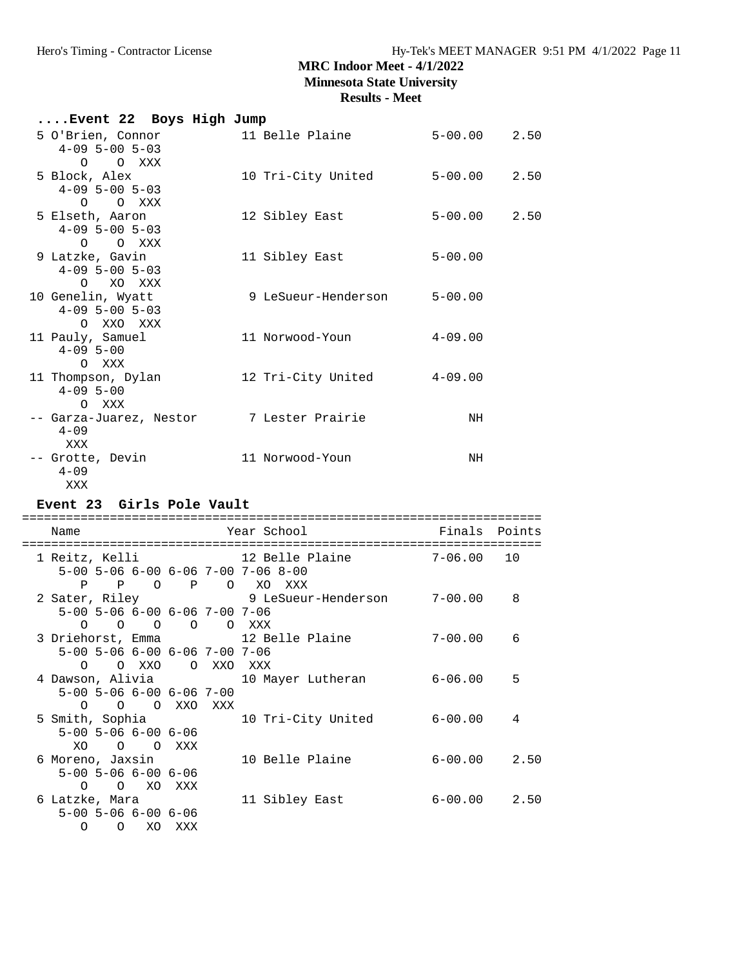## **Results - Meet**

| Event 22 Boys High Jump                                                                                                    |            |     |                                                |                  |      |
|----------------------------------------------------------------------------------------------------------------------------|------------|-----|------------------------------------------------|------------------|------|
| 5 O'Brien, Connor<br>$4-09$ 5-00 5-03<br>O O XXX                                                                           |            |     | 11 Belle Plaine 5-00.00 2.50                   |                  |      |
| 5 Block, Alex<br>$4-09$ 5-00 5-03<br>O O XXX                                                                               |            |     | 10 Tri-City United 5-00.00 2.50                |                  |      |
| 5 Elseth, Aaron<br>$4-09$ 5-00 5-03                                                                                        |            |     | 12 Sibley East                                 | $5 - 00.00$ 2.50 |      |
| O O XXX<br>9 Latzke, Gavin<br>$4-09$ 5-00 5-03<br>O XO XXX                                                                 |            |     | 11 Sibley East                                 | $5 - 00.00$      |      |
| 10 Genelin, Wyatt<br>$4-09$ 5-00 5-03<br>O XXO XXX                                                                         |            |     | 9 LeSueur-Henderson 5-00.00                    |                  |      |
| 11 Pauly, Samuel<br>$4 - 09$ 5-00<br>O XXX                                                                                 |            |     | 11 Norwood-Youn                                | $4 - 09.00$      |      |
| $4 - 09$ 5-00<br>O XXX                                                                                                     |            |     | 11 Thompson, Dylan 12 Tri-City United 4-09.00  |                  |      |
| $4 - 09$<br>XXX                                                                                                            |            |     | -- Garza-Juarez, Nestor       7 Lester Prairie | NH               |      |
| -- Grotte, Devin 11 Norwood-Youn                                                                                           |            |     |                                                | NH               |      |
| $4 - 09$                                                                                                                   |            |     |                                                |                  |      |
| XXX<br>Event 23 Girls Pole Vault                                                                                           |            |     |                                                |                  |      |
| Name                                                                                                                       |            |     | Year School                                    | Finals Points    |      |
| 1 Reitz, Kelli<br>5-00 5-06 6-00 6-06 7-00 7-06 8-00                                                                       |            |     | 12 Belle Plaine 7-06.00 10                     |                  |      |
| P P O P O XO XXX<br>$5-00$ $5-06$ $6-00$ $6-06$ $7-00$ $7-06$                                                              |            |     | 2 Sater, Riley 3 LeSueur-Henderson 7-00.00     |                  | 8    |
| O O O O XXX<br>0<br>5-00 5-06 6-00 6-06 7-00 7-06                                                                          |            |     | 3 Driehorst, Emma 12 Belle Plaine              | $7 - 00.00$      | 6    |
| O XXO<br>$\circ$<br>4 Dawson, Alivia<br>$5-00$ $5-06$ $6-00$ $6-06$ $7-00$                                                 | $\circ$    | XXO | XXX<br>10 Mayer Lutheran                       | $6 - 06.00$      | 5    |
| $\circ$<br>$\circ$<br>$\overline{O}$<br>5 Smith, Sophia<br>$5 - 00$ $5 - 06$ $6 - 00$ $6 - 06$                             | XXO        | XXX | 10 Tri-City United                             | $6 - 00.00$      | 4    |
| XO<br>$\overline{O}$ $\overline{O}$<br>6 Moreno, Jaxsin<br>$5 - 00$ $5 - 06$ $6 - 00$ $6 - 06$<br>$\circ$<br>XO<br>$\circ$ | XXX<br>XXX |     | 10 Belle Plaine                                | $6 - 00.00$      | 2.50 |

 5-00 5-06 6-00 6-06 O O XO XXX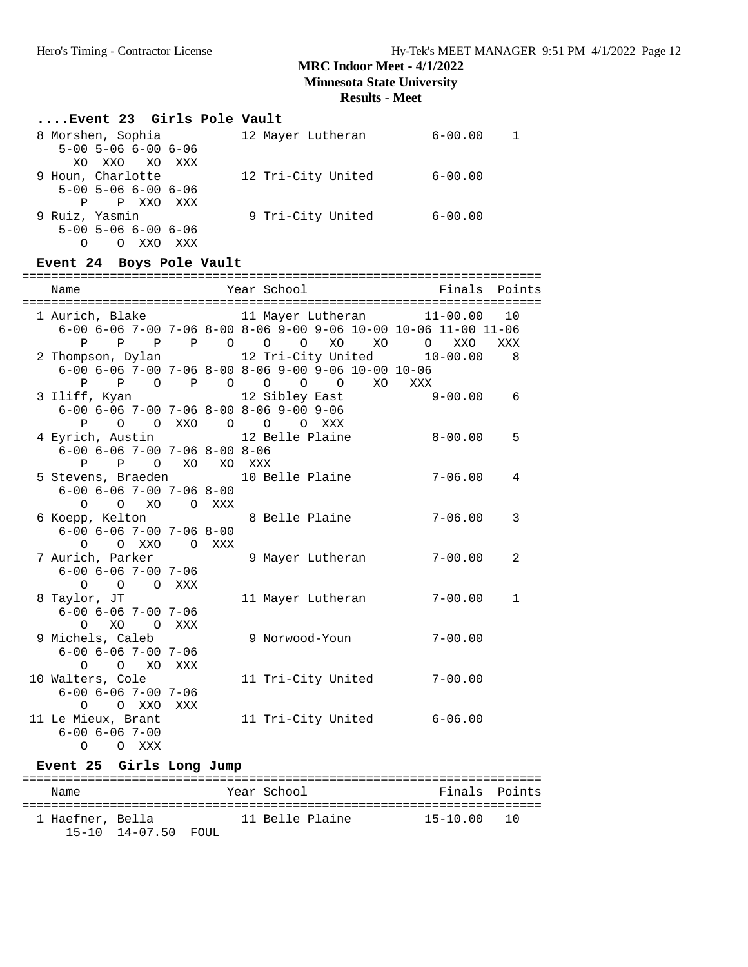**Minnesota State University**

**Results - Meet**

# **....Event 23 Girls Pole Vault**

| 8 Morshen, Sophia |                                     |       |            | 12 Mayer Lutheran  | $6 - 00.00$ |  |
|-------------------|-------------------------------------|-------|------------|--------------------|-------------|--|
|                   | $5 - 00$ $5 - 06$ $6 - 00$ $6 - 06$ |       |            |                    |             |  |
|                   | XO XXO XO                           |       | <b>XXX</b> |                    |             |  |
| 9 Houn, Charlotte |                                     |       |            | 12 Tri-City United | $6 - 00.00$ |  |
|                   | $5 - 00$ $5 - 06$ $6 - 00$ $6 - 06$ |       |            |                    |             |  |
| P                 |                                     | P XXO | XXX        |                    |             |  |
| 9 Ruiz, Yasmin    |                                     |       |            | 9 Tri-City United  | $6 - 00.00$ |  |
|                   | $5 - 00$ $5 - 06$ $6 - 00$ $6 - 06$ |       |            |                    |             |  |
|                   | O                                   | XXO   | XXX        |                    |             |  |

# **Event 24 Boys Pole Vault**

| Name                                         |            | Year School Theory                                                                      | Finals Points |              |
|----------------------------------------------|------------|-----------------------------------------------------------------------------------------|---------------|--------------|
|                                              |            |                                                                                         |               |              |
|                                              |            |                                                                                         |               |              |
|                                              |            | $6-00$ $6-06$ $7-00$ $7-06$ $8-00$ $8-06$ $9-00$ $9-06$ $10-00$ $10-06$ $11-00$ $11-06$ |               |              |
| P                                            |            | P P P O O O XO XO                                                                       | O XXO         | XXX          |
|                                              |            | 2 Thompson, Dylan 12 Tri-City United 10-00.00 8                                         |               |              |
|                                              |            | $6-00$ $6-06$ $7-00$ $7-06$ $8-00$ $8-06$ $9-00$ $9-06$ $10-00$ $10-06$                 |               |              |
|                                              |            | P P O P O O O O XO XXX                                                                  |               |              |
| 3 Iliff, Kyan                                |            | 12 Sibley East 9-00.00                                                                  |               | 6            |
|                                              |            | $6-00$ $6-06$ $7-00$ $7-06$ $8-00$ $8-06$ $9-00$ $9-06$                                 |               |              |
|                                              |            | P O O XXO O O O XXX                                                                     |               |              |
|                                              |            | 4 Eyrich, Austin 12 Belle Plaine                                                        | $8 - 00.00$   | 5            |
| $6-00$ $6-06$ $7-00$ $7-06$ $8-00$ $8-06$    |            |                                                                                         |               |              |
| P P O XO XO XXX                              |            |                                                                                         |               |              |
|                                              |            | 5 Stevens, Braeden 10 Belle Plaine                                                      | $7 - 06.00$   | 4            |
| $6 - 00$ $6 - 06$ $7 - 00$ $7 - 06$ $8 - 00$ |            |                                                                                         |               |              |
| $\circ$                                      | O XO O XXX |                                                                                         |               |              |
|                                              |            | 6 Koepp, Kelton 6 Belle Plaine                                                          | $7 - 06.00$   | 3            |
| $6 - 00$ $6 - 06$ $7 - 00$ $7 - 06$ $8 - 00$ |            |                                                                                         |               |              |
| O O XXO O XXX                                |            |                                                                                         |               |              |
| 7 Aurich, Parker                             |            | 9 Mayer Lutheran                                                                        | $7 - 00.00$   | 2            |
| $6 - 00$ $6 - 06$ $7 - 00$ $7 - 06$          |            |                                                                                         |               |              |
| O O O XXX                                    |            |                                                                                         |               |              |
| 8 Taylor, JT                                 |            | 11 Mayer Lutheran                                                                       | $7 - 00.00$   | $\mathbf{1}$ |
| $6 - 00$ $6 - 06$ $7 - 00$ $7 - 06$          |            |                                                                                         |               |              |
| O XO O XXX                                   |            |                                                                                         |               |              |
| 9 Michels, Caleb                             |            | 9 Norwood-Youn                                                                          | $7 - 00.00$   |              |
| $6 - 00$ $6 - 06$ $7 - 00$ $7 - 06$          |            |                                                                                         |               |              |
| O O XO XXX                                   |            |                                                                                         |               |              |
| 10 Walters, Cole                             |            | 11 Tri-City United                                                                      | $7 - 00.00$   |              |
| $6 - 00$ $6 - 06$ $7 - 00$ $7 - 06$          |            |                                                                                         |               |              |
| O O XXO XXX                                  |            |                                                                                         |               |              |
| 11 Le Mieux, Brant                           |            | 11 Tri-City United 6-06.00                                                              |               |              |
| $6 - 00$ $6 - 06$ $7 - 00$                   |            |                                                                                         |               |              |
| O O XXX                                      |            |                                                                                         |               |              |

## **Event 25 Girls Long Jump**

| Name             |                         | Year School     | Finals Points |  |
|------------------|-------------------------|-----------------|---------------|--|
| 1 Haefner, Bella |                         | 11 Belle Plaine | 15-10.00 10   |  |
|                  | $15-10$ $14-07.50$ FOUL |                 |               |  |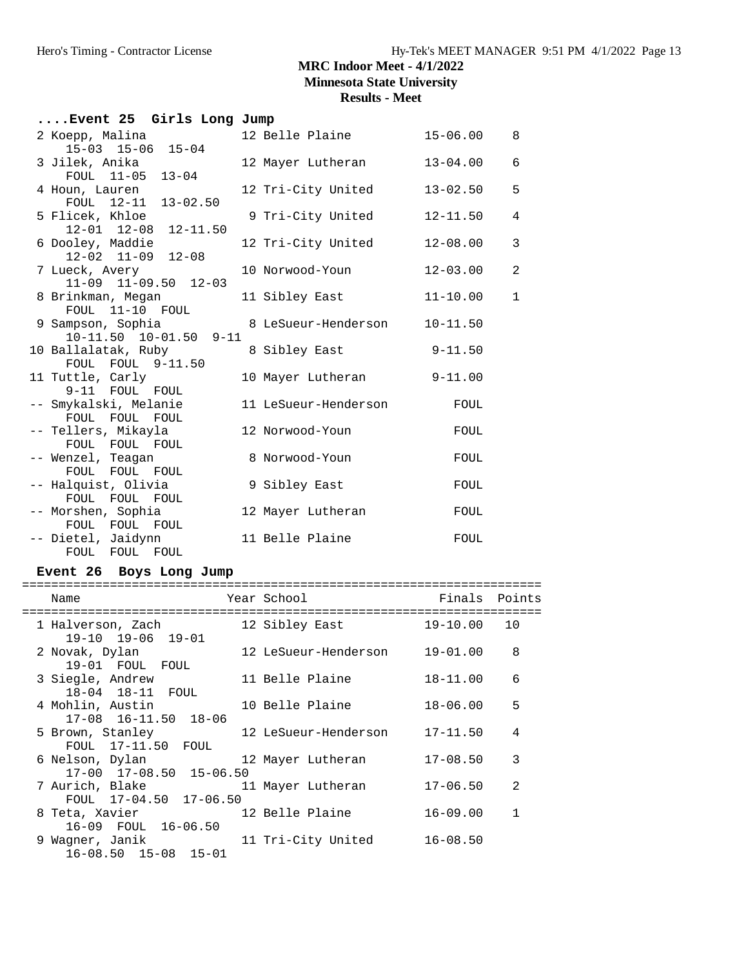**Minnesota State University**

# **Results - Meet**

| Event 25 Girls Long Jump                      |                      |              |                |
|-----------------------------------------------|----------------------|--------------|----------------|
| 2 Koepp, Malina<br>$15-03$ $15-06$ $15-04$    | 12 Belle Plaine      | 15-06.00     | -8             |
| 3 Jilek, Anika                                | 12 Mayer Lutheran    | $13 - 04.00$ | 6              |
| FOUL 11-05 13-04<br>4 Houn, Lauren            | 12 Tri-City United   | $13 - 02.50$ | 5              |
| FOUL 12-11 13-02.50<br>5 Flicek, Khloe        | 9 Tri-City United    | $12 - 11.50$ | $\overline{4}$ |
| 12-01 12-08 12-11.50<br>6 Dooley, Maddie      | 12 Tri-City United   | $12 - 08.00$ | 3              |
| $12-02$ $11-09$ $12-08$<br>7 Lueck, Avery     | 10 Norwood-Youn      | $12 - 03.00$ | $\overline{2}$ |
| 11-09 11-09.50 12-03<br>8 Brinkman, Megan     | 11 Sibley East       | $11 - 10.00$ | $\mathbf{1}$   |
| FOUL 11-10 FOUL<br>9 Sampson, Sophia          | 8 LeSueur-Henderson  | $10 - 11.50$ |                |
| 10-11.50 10-01.50 9-11<br>10 Ballalatak, Ruby | 8 Sibley East        | $9 - 11.50$  |                |
| FOUL FOUL 9-11.50                             |                      |              |                |
| 11 Tuttle, Carly<br>9-11 FOUL FOUL            | 10 Mayer Lutheran    | $9 - 11.00$  |                |
| -- Smykalski, Melanie<br>FOUL FOUL FOUL       | 11 LeSueur-Henderson | FOUL         |                |
| -- Tellers, Mikayla<br>FOUL FOUL FOUL         | 12 Norwood-Youn      | FOUL         |                |
| -- Wenzel, Teagan<br>FOUL FOUL FOUL           | 8 Norwood-Youn       | FOUL         |                |
| -- Halquist, Olivia                           | 9 Sibley East        | FOUL         |                |
| FOUL FOUL FOUL<br>-- Morshen, Sophia          | 12 Mayer Lutheran    | FOUL         |                |
| FOUL FOUL FOUL<br>-- Dietel, Jaidynn          | 11 Belle Plaine      | FOUL         |                |
| FOUL FOUL FOUL                                |                      |              |                |

## **Event 26 Boys Long Jump**

| Name                                                           | Year School          | Finals Points   |                |
|----------------------------------------------------------------|----------------------|-----------------|----------------|
| 1 Halverson, Zach<br>$19-10$ $19-06$ $19-01$                   | 12 Sibley East       | $19 - 10.00 10$ |                |
| 2 Novak, Dylan<br>19-01 FOUL FOUL                              | 12 LeSueur-Henderson | $19 - 01.00$    | 8              |
| 3 Siegle, Andrew<br>18-04 18-11 FOUL                           | 11 Belle Plaine      | $18 - 11.00$    | 6              |
| 4 Mohlin, Austin<br>17-08 16-11.50 18-06                       | 10 Belle Plaine      | $18 - 06.00$    | 5              |
| 5 Brown, Stanley<br>FOUL 17-11.50 FOUL                         | 12 LeSueur-Henderson | $17 - 11.50$    | 4              |
| 6 Nelson, Dylan                                                | 12 Mayer Lutheran    | $17 - 08.50$    | 3              |
| 17-00 17-08.50 15-06.50<br>7 Aurich, Blake                     | 11 Mayer Lutheran    | $17 - 06.50$    | $\mathfrak{D}$ |
| FOUL 17-04.50 17-06.50<br>12 Belle Plaine<br>8 Teta, Xavier    |                      | $16 - 09.00$    | $\mathbf{1}$   |
| 16-09 FOUL 16-06.50<br>9 Waqner, Janik<br>16-08.50 15-08 15-01 | 11 Tri-City United   | $16 - 08.50$    |                |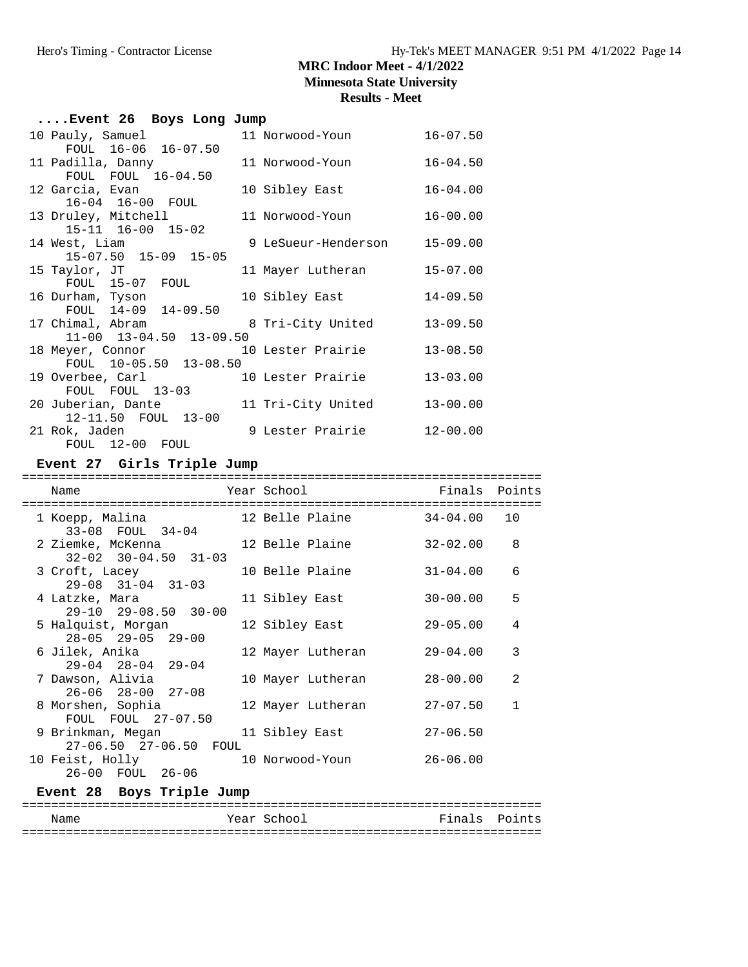| Results - Meet |  |  |  |
|----------------|--|--|--|
|----------------|--|--|--|

| Event 26 Boys Long Jump                                              |                              |              |  |
|----------------------------------------------------------------------|------------------------------|--------------|--|
| 10 Pauly, Samuel<br>FOUL 16-06 16-07.50                              | 11 Norwood-Youn 16-07.50     |              |  |
| FOUL FOUL 16-04.50                                                   |                              | $16 - 04.50$ |  |
| 12 Garcia, Evan<br>16-04 16-00 FOUL                                  | 10 Sibley East               | $16 - 04.00$ |  |
| 13 Druley, Mitchell<br>15-11 16-00 15-02                             | 11 Norwood-Youn 16-00.00     |              |  |
| 14 West, Liam<br>15-07.50 15-09 15-05                                | 9 LeSueur-Henderson 15-09.00 |              |  |
| 15 Taylor, JT<br>FOUL 15-07 FOUL                                     | 11 Mayer Lutheran 15-07.00   |              |  |
| 16 Durham, Tyson<br>FOUL 14-09 14-09.50                              | 10 Sibley East               | $14 - 09.50$ |  |
| 17 Chimal, Abram 8 Tri-City United<br>11-00 13-04.50 13-09.50        |                              | $13 - 09.50$ |  |
| 18 Meyer, Connor 10 Lester Prairie<br>FOUL 10-05.50 13-08.50         |                              | $13 - 08.50$ |  |
| 19 Overbee, Carl 10 Lester Prairie<br>FOUL FOUL 13-03                |                              | $13 - 03.00$ |  |
| 20 Juberian, Dante 11 Tri-City United<br>12-11.50 FOUL 13-00         |                              | $13 - 00.00$ |  |
| 21 Rok, Jaden 12-00.00<br>FOUL 12-00 FOUL                            |                              |              |  |
| Event 27 Girls Triple Jump                                           |                              |              |  |
| Year School <a> Finals Points</a><br>Name                            |                              |              |  |
| 1 Koepp, Malina $12$ Belle Plaine $34-04.00$ 10                      |                              |              |  |
| $33-08$ FOUL $34-04$<br>2 Ziemke, McKenna 12 Belle Plaine 32-02.00 8 |                              |              |  |

| $32 - 02$ $30 - 04.50$ $31 - 03$ |                   |              |   |
|----------------------------------|-------------------|--------------|---|
| 3 Croft, Lacey                   | 10 Belle Plaine   | $31 - 04.00$ | 6 |
| $29 - 08$ $31 - 04$ $31 - 03$    |                   |              |   |
| 4 Latzke, Mara                   | 11 Sibley East    | $30 - 00.00$ | 5 |
| $29-10$ $29-08.50$ $30-00$       |                   |              |   |
| 5 Halquist, Morgan               | 12 Sibley East    | $29 - 05.00$ | 4 |
| $28 - 05$ $29 - 05$ $29 - 00$    |                   |              |   |
| 6 Jilek, Anika                   | 12 Mayer Lutheran | $29 - 04.00$ | 3 |
| $29 - 04$ $28 - 04$ $29 - 04$    |                   |              |   |
| 7 Dawson, Alivia                 | 10 Mayer Lutheran | $28 - 00.00$ | 2 |
| $26 - 06$ $28 - 00$ $27 - 08$    |                   |              |   |
| 8 Morshen, Sophia                | 12 Mayer Lutheran | $27 - 07.50$ | 1 |
| FOUL FOUL 27-07.50               |                   |              |   |
| 9 Brinkman, Megan                | 11 Sibley East    | $27 - 06.50$ |   |
| 27-06.50 27-06.50 FOUL           |                   |              |   |
| 10 Feist, Holly                  | 10 Norwood-Youn   | $26 - 06.00$ |   |
| 26-00 FOUL 26-06                 |                   |              |   |

# **Event 28 Boys Triple Jump**

| Name | Year School | Finals Points |  |
|------|-------------|---------------|--|
|      |             |               |  |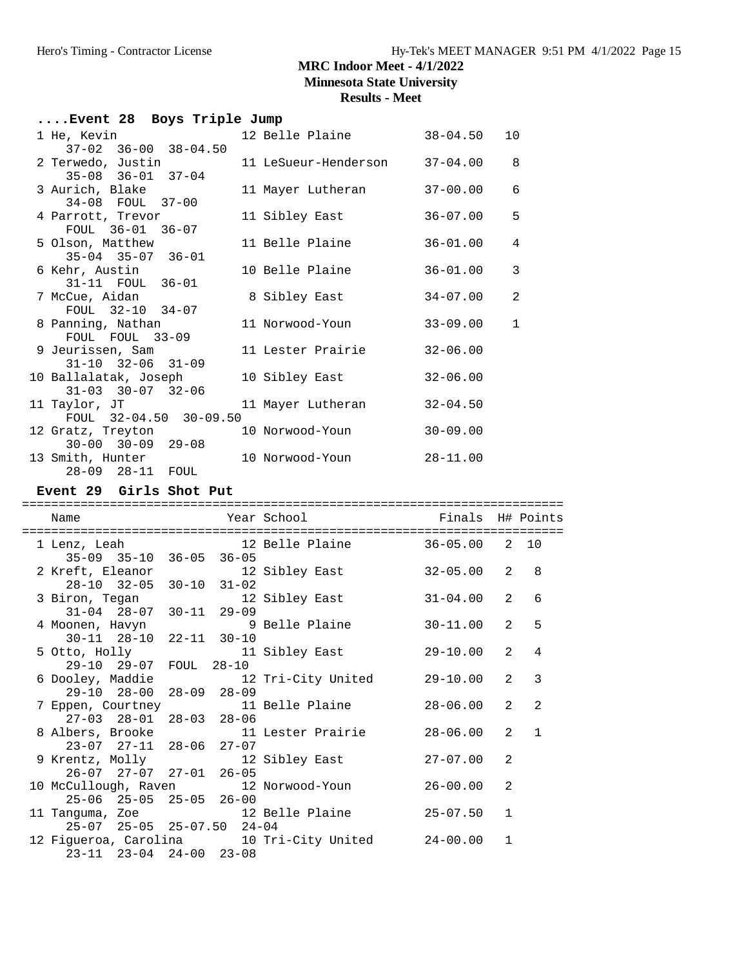**Minnesota State University**

#### **Results - Meet**

|                               |                                                                                                                                                                                                                                                                                                                                                                                     |                                                 |                                                                                                                                                                                                                                                                                         | 10                                                                                   |
|-------------------------------|-------------------------------------------------------------------------------------------------------------------------------------------------------------------------------------------------------------------------------------------------------------------------------------------------------------------------------------------------------------------------------------|-------------------------------------------------|-----------------------------------------------------------------------------------------------------------------------------------------------------------------------------------------------------------------------------------------------------------------------------------------|--------------------------------------------------------------------------------------|
|                               |                                                                                                                                                                                                                                                                                                                                                                                     |                                                 | 37-04.00                                                                                                                                                                                                                                                                                | 8                                                                                    |
|                               |                                                                                                                                                                                                                                                                                                                                                                                     |                                                 | 37-00.00                                                                                                                                                                                                                                                                                | 6                                                                                    |
|                               |                                                                                                                                                                                                                                                                                                                                                                                     |                                                 |                                                                                                                                                                                                                                                                                         | 5                                                                                    |
|                               |                                                                                                                                                                                                                                                                                                                                                                                     |                                                 | 36-01.00                                                                                                                                                                                                                                                                                | 4                                                                                    |
|                               |                                                                                                                                                                                                                                                                                                                                                                                     |                                                 | 36-01.00                                                                                                                                                                                                                                                                                | 3                                                                                    |
|                               |                                                                                                                                                                                                                                                                                                                                                                                     |                                                 | 34-07.00                                                                                                                                                                                                                                                                                | 2                                                                                    |
| FOUL 32-10 34-07              |                                                                                                                                                                                                                                                                                                                                                                                     |                                                 |                                                                                                                                                                                                                                                                                         | 1                                                                                    |
| FOUL FOUL 33-09               |                                                                                                                                                                                                                                                                                                                                                                                     |                                                 | $32 - 06.00$                                                                                                                                                                                                                                                                            |                                                                                      |
| $31 - 10$ $32 - 06$ $31 - 09$ |                                                                                                                                                                                                                                                                                                                                                                                     |                                                 | $32 - 06.00$                                                                                                                                                                                                                                                                            |                                                                                      |
| $31 - 03$ $30 - 07$ $32 - 06$ |                                                                                                                                                                                                                                                                                                                                                                                     |                                                 |                                                                                                                                                                                                                                                                                         |                                                                                      |
|                               |                                                                                                                                                                                                                                                                                                                                                                                     |                                                 |                                                                                                                                                                                                                                                                                         |                                                                                      |
| $30 - 00$ $30 - 09$ $29 - 08$ |                                                                                                                                                                                                                                                                                                                                                                                     |                                                 |                                                                                                                                                                                                                                                                                         |                                                                                      |
| 28-09 28-11 FOUL              |                                                                                                                                                                                                                                                                                                                                                                                     |                                                 |                                                                                                                                                                                                                                                                                         |                                                                                      |
|                               | 1 He, Kevin<br>$37-02$ $36-00$ $38-04.50$<br>2 Terwedo, Justin<br>$35-08$ $36-01$ $37-04$<br>3 Aurich, Blake<br>34-08 FOUL 37-00<br>4 Parrott, Trevor<br>FOUL 36-01 36-07<br>5 Olson, Matthew<br>$35-04$ $35-07$ $36-01$<br>6 Kehr, Austin<br>31-11 FOUL 36-01<br>7 McCue, Aidan<br>8 Panning, Nathan<br>9 Jeurissen, Sam<br>11 Taylor, JT<br>12 Gratz, Treyton<br>13 Smith, Hunter | 10 Ballalatak, Joseph<br>FOUL 32-04.50 30-09.50 | Event 28 Boys Triple Jump<br>12 Belle Plaine<br>11 LeSueur-Henderson<br>11 Mayer Lutheran<br>11 Sibley East<br>11 Belle Plaine<br>10 Belle Plaine<br>8 Sibley East<br>11 Norwood-Youn<br>11 Lester Prairie<br>10 Sibley East<br>11 Mayer Lutheran<br>10 Norwood-Youn<br>10 Norwood-Youn | $38 - 04.50$<br>36-07.00<br>33-09.00<br>$32 - 04.50$<br>$30 - 09.00$<br>$28 - 11.00$ |

### **Event 29 Girls Shot Put**

#### Name Year School Finals H# Points ========================================================================== 1 Lenz, Leah 12 Belle Plaine 36-05.00 2 10 35-09 35-10 36-05 36-05 2 Kreft, Eleanor 12 Sibley East 32-05.00 2 8 28-10 32-05 30-10 31-02<br>3 Biron, Tegan 12 12 Sibley East 31-04.00 2 6 31-04 28-07 30-11 29-09 4 Moonen, Havyn 9 Belle Plaine 30-11.00 2 5 4 Moonen, Havyn 9<br>30-11 28-10 22-11 30-10<br>5 Otto, Holly 11 11 Sibley East 29-10.00 2 4 29-10 29-07 FOUL 28-10 6 Dooley, Maddie 12 Tri-City United 29-10.00 2 3 29-10 28-00 28-09 28-09 7 Eppen, Courtney 11 Belle Plaine 28-06.00 2 2 27-03 28-01 28-03 28-06 8 Albers, Brooke 11 Lester Prairie 28-06.00 2 1 23-07 27-11 28-06 27-07<br>9 Krentz, Molly 12 12 Sibley East 27-07.00 2 26-07 27-07 27-01 26-05 10 McCullough, Raven 12 Norwood-Youn 26-00.00 2 25-06 25-05 25-05 26-00<br>11 Tanguma, Zoe 12  $25$ -07.50  $25$ -07.50 1<br>
25-07.50 1<br>
20 07 50 24 04 25-07 25-05 25-07.50 24-04 12 Figueroa, Carolina 10 Tri-City United 24-00.00 1 23-11 23-04 24-00 23-08

==========================================================================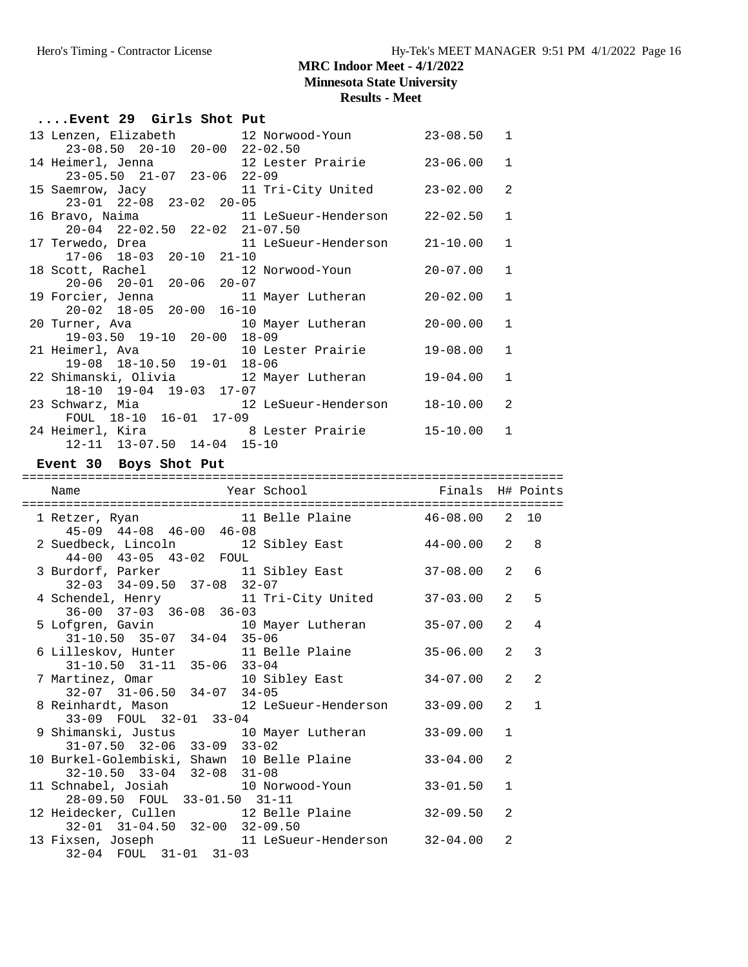## **Results - Meet**

| Event 29 Girls Shot Put                                                                               |                               |                |              |              |
|-------------------------------------------------------------------------------------------------------|-------------------------------|----------------|--------------|--------------|
| 13 Lenzen, Elizabeth 12 Norwood-Youn 23-08.50<br>23-08.50 20-10 20-00 22-02.50                        |                               |                | 1            |              |
| 14 Heimerl, Jenna 12 Lester Prairie 23-06.00<br>$23-05.50$ $21-07$ $23-06$ $22-09$                    |                               |                | 1            |              |
| 15 Saemrow, Jacy 11 Tri-City United<br>23-01 22-08 23-02 20-05                                        |                               | $23 - 02.00$   | 2            |              |
| 16 Bravo, Naima<br>20-04 22-02.50 22-02 21-07.50                                                      |                               |                | $\mathbf{1}$ |              |
| 17 Terwedo, Drea<br>$17-06$ $18-03$ $20-10$ $21-10$                                                   | 11 LeSueur-Henderson 21-10.00 |                | $\mathbf{1}$ |              |
| 18 Scott, Rachel 12<br>20-06 20-01 20-06 20-07                                                        | 12 Norwood-Youn               | $20 - 07.00$   | 1            |              |
| 19 Forcier, Jenna<br>$20-02$ 18-05 20-00 16-10                                                        | 11 Mayer Lutheran             | 20-02.00       | $\mathbf{1}$ |              |
| 20 Turner, Ava 10 Mayer Lutheran<br>19-03.50 19-10 20-00 18-09                                        |                               | $20 - 00.00$   | 1            |              |
| 21 Heimerl, Ava 10 Lester Prairie<br>19-08 18-10.50 19-01 18-06                                       |                               | $19 - 08.00$   | 1            |              |
| 22 Shimanski, Olivia 12 Mayer Lutheran<br>18-10 19-04 19-03 17-07                                     |                               | 19-04.00       | $\mathbf{1}$ |              |
| 23 Schwarz, Mia and 12 LeSueur-Henderson 18-10.00<br>FOUL 18-10 16-01 17-09                           |                               |                | 2            |              |
| 24 Heimerl, Kira                  8 Lester Prairie          15-10.00<br>12-11 13-07.50 14-04 15-10    |                               |                | 1            |              |
| Event 30 Boys Shot Put                                                                                |                               |                |              |              |
|                                                                                                       |                               |                |              |              |
|                                                                                                       |                               |                |              |              |
| Name                                                                                                  |                               |                |              |              |
| 1 Retzer, Ryan 11 Belle Plaine 46-08.00 2 10                                                          |                               |                |              |              |
| $45-09$ $44-08$ $46-00$ $46-08$<br>2 Suedbeck, Lincoln 12 Sibley East 44-00.00 2                      |                               |                |              | 8            |
| 44-00 43-05 43-02 FOUL<br>3 Burdorf, Parker 11 Sibley East                                            |                               | 37-08.00       | 2            | 6            |
| $32-03$ $34-09.50$ $37-08$ $32-07$<br>4 Schendel, Henry 11 Tri-City United 37-03.00 2                 |                               |                |              | 5            |
| $36-00$ $37-03$ $36-08$ $36-03$<br>5 Lofgren, Gavin 10 Mayer Lutheran 35-07.00 2                      |                               |                |              | 4            |
| $31-10.50$ $35-07$ $34-04$ $35-06$<br>6 Lilleskov, Hunter 11 Belle Plaine 35-06.00 2                  |                               |                |              | 3            |
| 31-10.50 31-11 35-06 33-04                                                                            | 10 Sibley East                | $34 - 07.00$ 2 |              | 2            |
| 7 Martinez, Omar 10 Sil<br>32-07 31-06.50 34-07 34-05<br>8 Reinhardt, Mason                           | 12 LeSueur-Henderson          | $33 - 09.00$   | 2            | $\mathbf{1}$ |
| 33-09 FOUL 32-01 33-04<br>9 Shimanski, Justus                                                         | 10 Mayer Lutheran             | $33 - 09.00$   | $\mathbf{1}$ |              |
| $31-07.50$ $32-06$ $33-09$ $33-02$<br>10 Burkel-Golembiski, Shawn 10 Belle Plaine                     |                               | $33 - 04.00$   | 2            |              |
| 32-10.50 33-04 32-08 31-08<br>11 Schnabel, Josiah 10 Norwood-Youn                                     |                               | $33 - 01.50$   | 1            |              |
| 28-09.50 FOUL 33-01.50 31-11<br>12 Heidecker, Cullen 12 Belle Plaine<br>32-01 31-04.50 32-00 32-09.50 |                               | $32 - 09.50$   | 2            |              |